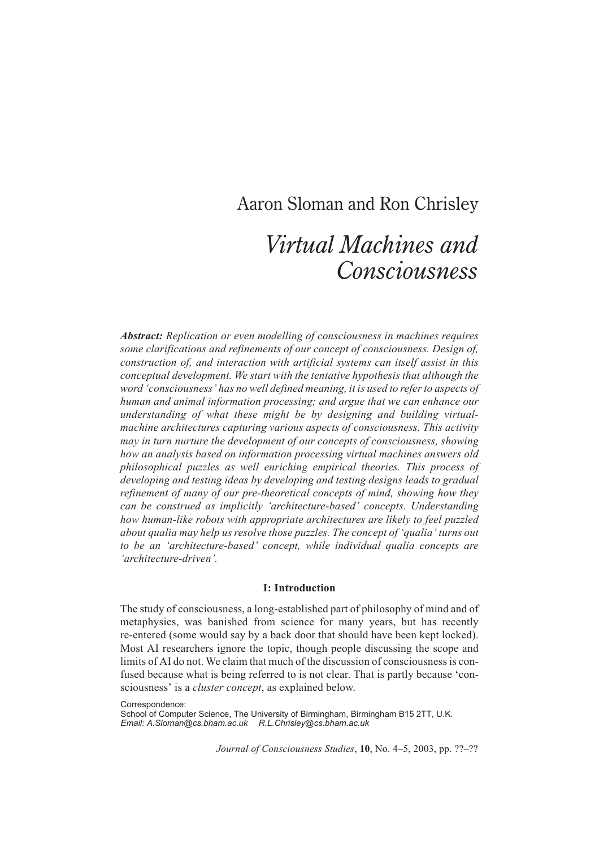# Aaron Sloman and Ron Chrisley

# *Virtual Machines and Consciousness*

*Abstract: Replication or even modelling of consciousness in machines requires some clarifications and refinements of our concept of consciousness. Design of, construction of, and interaction with artificial systems can itself assist in this conceptual development. We start with the tentative hypothesis that although the word 'consciousness' has no well defined meaning, it is used to refer to aspects of human and animal information processing; and argue that we can enhance our understanding of what these might be by designing and building virtualmachine architectures capturing various aspects of consciousness. This activity may in turn nurture the development of our concepts of consciousness, showing how an analysis based on information processing virtual machines answers old philosophical puzzles as well enriching empirical theories. This process of developing and testing ideas by developing and testing designs leads to gradual refinement of many of our pre-theoretical concepts of mind, showing how they can be construed as implicitly 'architecture-based' concepts. Understanding how human-like robots with appropriate architectures are likely to feel puzzled about qualia may help us resolve those puzzles. The concept of 'qualia' turns out to be an 'architecture-based' concept, while individual qualia concepts are 'architecture-driven'.*

#### **I: Introduction**

The study of consciousness, a long-established part of philosophy of mind and of metaphysics, was banished from science for many years, but has recently re-entered (some would say by a back door that should have been kept locked). Most AI researchers ignore the topic, though people discussing the scope and limits of AI do not. We claim that much of the discussion of consciousness is confused because what is being referred to is not clear. That is partly because 'consciousness' is a *cluster concept*, as explained below.

Correspondence: School of Computer Science, The University of Birmingham, Birmingham B15 2TT, U.K. *Email: A.Sloman@cs.bham.ac.uk R.L.Chrisley@cs.bham.ac.uk*

*Journal of Consciousness Studies*, **10**, No. 4–5, 2003, pp. ??–??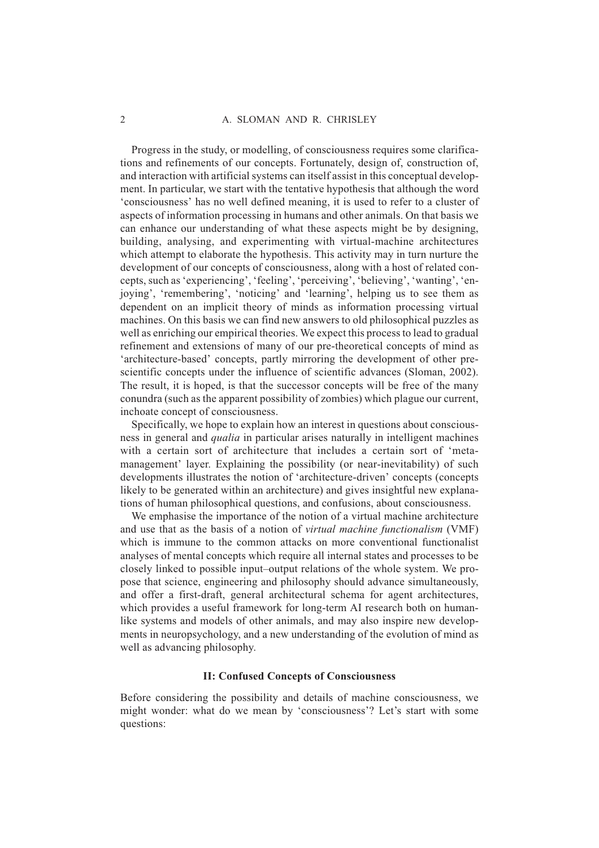Progress in the study, or modelling, of consciousness requires some clarifications and refinements of our concepts. Fortunately, design of, construction of, and interaction with artificial systems can itself assist in this conceptual development. In particular, we start with the tentative hypothesis that although the word 'consciousness' has no well defined meaning, it is used to refer to a cluster of aspects of information processing in humans and other animals. On that basis we can enhance our understanding of what these aspects might be by designing, building, analysing, and experimenting with virtual-machine architectures which attempt to elaborate the hypothesis. This activity may in turn nurture the development of our concepts of consciousness, along with a host of related concepts, such as 'experiencing', 'feeling', 'perceiving', 'believing', 'wanting', 'enjoying', 'remembering', 'noticing' and 'learning', helping us to see them as dependent on an implicit theory of minds as information processing virtual machines. On this basis we can find new answers to old philosophical puzzles as well as enriching our empirical theories. We expect this process to lead to gradual refinement and extensions of many of our pre-theoretical concepts of mind as 'architecture-based' concepts, partly mirroring the development of other prescientific concepts under the influence of scientific advances (Sloman, 2002). The result, it is hoped, is that the successor concepts will be free of the many conundra (such as the apparent possibility of zombies) which plague our current, inchoate concept of consciousness.

Specifically, we hope to explain how an interest in questions about consciousness in general and *qualia* in particular arises naturally in intelligent machines with a certain sort of architecture that includes a certain sort of 'metamanagement' layer. Explaining the possibility (or near-inevitability) of such developments illustrates the notion of 'architecture-driven' concepts (concepts likely to be generated within an architecture) and gives insightful new explanations of human philosophical questions, and confusions, about consciousness.

We emphasise the importance of the notion of a virtual machine architecture and use that as the basis of a notion of *virtual machine functionalism* (VMF) which is immune to the common attacks on more conventional functionalist analyses of mental concepts which require all internal states and processes to be closely linked to possible input–output relations of the whole system. We propose that science, engineering and philosophy should advance simultaneously, and offer a first-draft, general architectural schema for agent architectures, which provides a useful framework for long-term AI research both on humanlike systems and models of other animals, and may also inspire new developments in neuropsychology, and a new understanding of the evolution of mind as well as advancing philosophy.

## **II: Confused Concepts of Consciousness**

Before considering the possibility and details of machine consciousness, we might wonder: what do we mean by 'consciousness'? Let's start with some questions: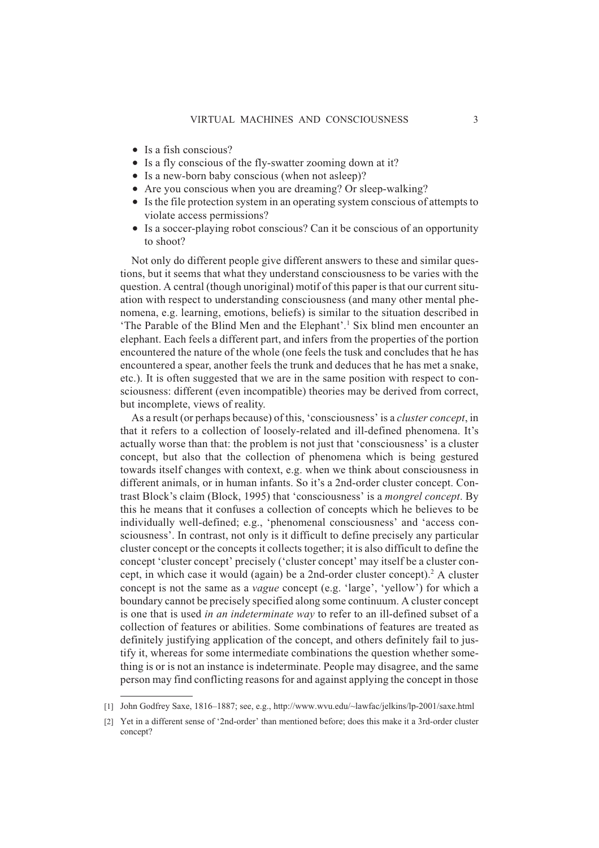- Is a fish conscious?
- Is a fly conscious of the fly-swatter zooming down at it?
- Is a new-born baby conscious (when not asleep)?
- Are you conscious when you are dreaming? Or sleep-walking?
- Is the file protection system in an operating system conscious of attempts to violate access permissions?
- Is a soccer-playing robot conscious? Can it be conscious of an opportunity to shoot?

Not only do different people give different answers to these and similar questions, but it seems that what they understand consciousness to be varies with the question. A central (though unoriginal) motif of this paper is that our current situation with respect to understanding consciousness (and many other mental phenomena, e.g. learning, emotions, beliefs) is similar to the situation described in 'The Parable of the Blind Men and the Elephant'.<sup>1</sup> Six blind men encounter an elephant. Each feels a different part, and infers from the properties of the portion encountered the nature of the whole (one feels the tusk and concludes that he has encountered a spear, another feels the trunk and deduces that he has met a snake, etc.). It is often suggested that we are in the same position with respect to consciousness: different (even incompatible) theories may be derived from correct, but incomplete, views of reality.

As a result (or perhaps because) of this, 'consciousness' is a *cluster concept*, in that it refers to a collection of loosely-related and ill-defined phenomena. It's actually worse than that: the problem is not just that 'consciousness' is a cluster concept, but also that the collection of phenomena which is being gestured towards itself changes with context, e.g. when we think about consciousness in different animals, or in human infants. So it's a 2nd-order cluster concept. Contrast Block's claim (Block, 1995) that 'consciousness' is a *mongrel concept*. By this he means that it confuses a collection of concepts which he believes to be individually well-defined; e.g., 'phenomenal consciousness' and 'access consciousness'. In contrast, not only is it difficult to define precisely any particular cluster concept or the concepts it collects together; it is also difficult to define the concept 'cluster concept' precisely ('cluster concept' may itself be a cluster concept, in which case it would (again) be a 2nd-order cluster concept).<sup>2</sup> A cluster concept is not the same as a *vague* concept (e.g. 'large', 'yellow') for which a boundary cannot be precisely specified along some continuum. A cluster concept is one that is used *in an indeterminate way* to refer to an ill-defined subset of a collection of features or abilities. Some combinations of features are treated as definitely justifying application of the concept, and others definitely fail to justify it, whereas for some intermediate combinations the question whether something is or is not an instance is indeterminate. People may disagree, and the same person may find conflicting reasons for and against applying the concept in those

<sup>[1]</sup> John Godfrey Saxe, 1816–1887; see, e.g., http://www.wvu.edu/~lawfac/jelkins/lp-2001/saxe.html

<sup>[2]</sup> Yet in a different sense of '2nd-order' than mentioned before; does this make it a 3rd-order cluster concept?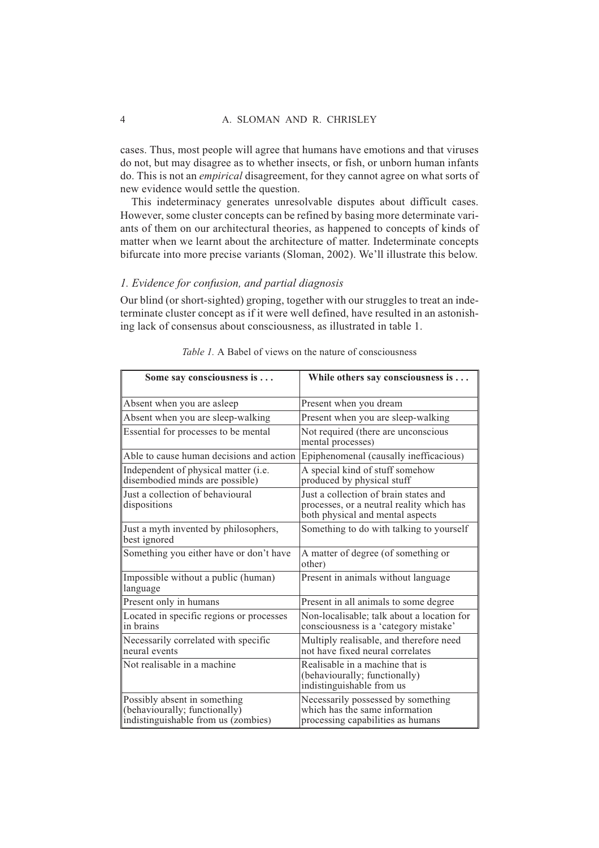#### 4 A. SLOMAN AND R. CHRISLEY

cases. Thus, most people will agree that humans have emotions and that viruses do not, but may disagree as to whether insects, or fish, or unborn human infants do. This is not an *empirical* disagreement, for they cannot agree on what sorts of new evidence would settle the question.

This indeterminacy generates unresolvable disputes about difficult cases. However, some cluster concepts can be refined by basing more determinate variants of them on our architectural theories, as happened to concepts of kinds of matter when we learnt about the architecture of matter. Indeterminate concepts bifurcate into more precise variants (Sloman, 2002). We'll illustrate this below.

#### *1. Evidence for confusion, and partial diagnosis*

Our blind (or short-sighted) groping, together with our struggles to treat an indeterminate cluster concept as if it were well defined, have resulted in an astonishing lack of consensus about consciousness, as illustrated in table 1.

| Some say consciousness is                                                                            | While others say consciousness is $\dots$                                                                              |
|------------------------------------------------------------------------------------------------------|------------------------------------------------------------------------------------------------------------------------|
| Absent when you are asleep                                                                           | Present when you dream                                                                                                 |
| Absent when you are sleep-walking                                                                    | Present when you are sleep-walking                                                                                     |
| Essential for processes to be mental                                                                 | Not required (there are unconscious<br>mental processes)                                                               |
| Able to cause human decisions and action                                                             | Epiphenomenal (causally inefficacious)                                                                                 |
| Independent of physical matter (i.e.<br>disembodied minds are possible)                              | A special kind of stuff somehow<br>produced by physical stuff                                                          |
| Just a collection of behavioural<br>dispositions                                                     | Just a collection of brain states and<br>processes, or a neutral reality which has<br>both physical and mental aspects |
| Just a myth invented by philosophers,<br>best ignored                                                | Something to do with talking to yourself                                                                               |
| Something you either have or don't have                                                              | A matter of degree (of something or<br>other)                                                                          |
| Impossible without a public (human)<br>language                                                      | Present in animals without language                                                                                    |
| Present only in humans                                                                               | Present in all animals to some degree                                                                                  |
| Located in specific regions or processes<br>in brains                                                | Non-localisable; talk about a location for<br>consciousness is a 'category mistake'                                    |
| Necessarily correlated with specific<br>neural events                                                | Multiply realisable, and therefore need<br>not have fixed neural correlates                                            |
| Not realisable in a machine                                                                          | Realisable in a machine that is<br>(behaviourally; functionally)<br>indistinguishable from us                          |
| Possibly absent in something<br>(behaviourally; functionally)<br>indistinguishable from us (zombies) | Necessarily possessed by something<br>which has the same information<br>processing capabilities as humans              |

*Table 1.* A Babel of views on the nature of consciousness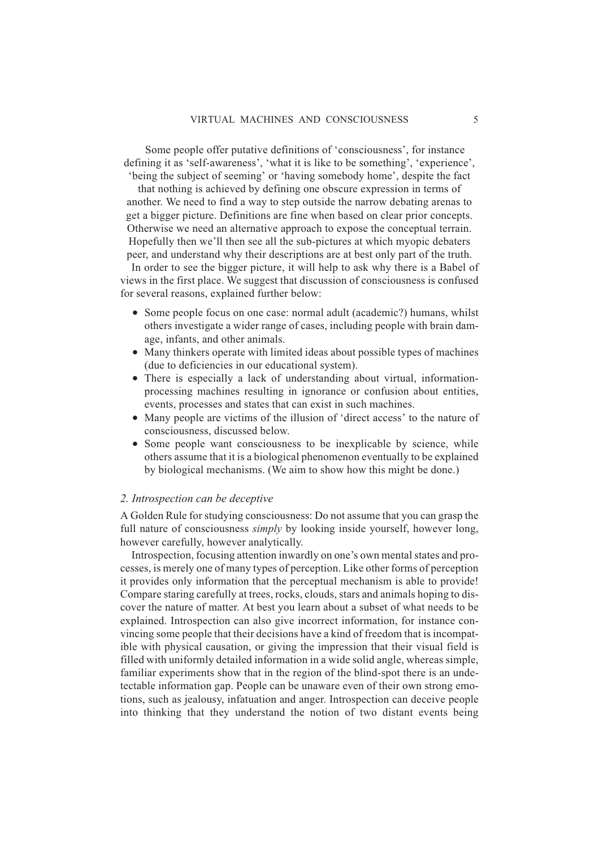Some people offer putative definitions of 'consciousness', for instance defining it as 'self-awareness', 'what it is like to be something', 'experience', 'being the subject of seeming' or 'having somebody home', despite the fact

that nothing is achieved by defining one obscure expression in terms of another. We need to find a way to step outside the narrow debating arenas to get a bigger picture. Definitions are fine when based on clear prior concepts. Otherwise we need an alternative approach to expose the conceptual terrain. Hopefully then we'll then see all the sub-pictures at which myopic debaters peer, and understand why their descriptions are at best only part of the truth.

In order to see the bigger picture, it will help to ask why there is a Babel of views in the first place. We suggest that discussion of consciousness is confused for several reasons, explained further below:

- Some people focus on one case: normal adult (academic?) humans, whilst others investigate a wider range of cases, including people with brain damage, infants, and other animals.
- Many thinkers operate with limited ideas about possible types of machines (due to deficiencies in our educational system).
- There is especially a lack of understanding about virtual, informationprocessing machines resulting in ignorance or confusion about entities, events, processes and states that can exist in such machines.
- Many people are victims of the illusion of 'direct access' to the nature of consciousness, discussed below.
- Some people want consciousness to be inexplicable by science, while others assume that it is a biological phenomenon eventually to be explained by biological mechanisms. (We aim to show how this might be done.)

#### *2. Introspection can be deceptive*

A Golden Rule for studying consciousness: Do not assume that you can grasp the full nature of consciousness *simply* by looking inside yourself, however long, however carefully, however analytically.

Introspection, focusing attention inwardly on one's own mental states and processes, is merely one of many types of perception. Like other forms of perception it provides only information that the perceptual mechanism is able to provide! Compare staring carefully at trees, rocks, clouds, stars and animals hoping to discover the nature of matter. At best you learn about a subset of what needs to be explained. Introspection can also give incorrect information, for instance convincing some people that their decisions have a kind of freedom that is incompatible with physical causation, or giving the impression that their visual field is filled with uniformly detailed information in a wide solid angle, whereas simple, familiar experiments show that in the region of the blind-spot there is an undetectable information gap. People can be unaware even of their own strong emotions, such as jealousy, infatuation and anger. Introspection can deceive people into thinking that they understand the notion of two distant events being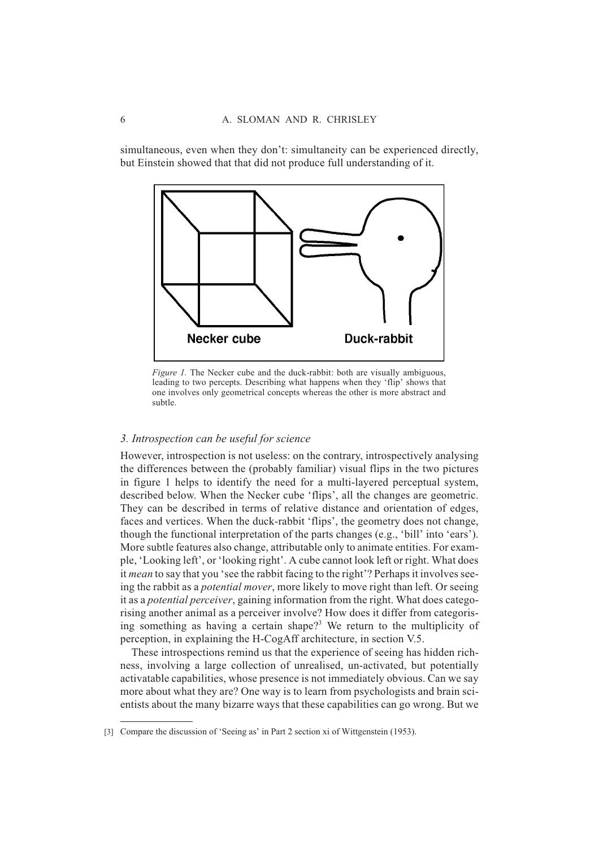simultaneous, even when they don't: simultaneity can be experienced directly, but Einstein showed that that did not produce full understanding of it.



*Figure 1.* The Necker cube and the duck-rabbit: both are visually ambiguous, leading to two percepts. Describing what happens when they 'flip' shows that one involves only geometrical concepts whereas the other is more abstract and subtle.

# *3. Introspection can be useful for science*

However, introspection is not useless: on the contrary, introspectively analysing the differences between the (probably familiar) visual flips in the two pictures in figure 1 helps to identify the need for a multi-layered perceptual system, described below. When the Necker cube 'flips', all the changes are geometric. They can be described in terms of relative distance and orientation of edges, faces and vertices. When the duck-rabbit 'flips', the geometry does not change, though the functional interpretation of the parts changes (e.g., 'bill' into 'ears'). More subtle features also change, attributable only to animate entities. For example, 'Looking left', or 'looking right'. A cube cannot look left or right. What does it *mean* to say that you 'see the rabbit facing to the right'? Perhaps it involves seeing the rabbit as a *potential mover*, more likely to move right than left. Or seeing it as a *potential perceiver*, gaining information from the right. What does categorising another animal as a perceiver involve? How does it differ from categorising something as having a certain shape?<sup>3</sup> We return to the multiplicity of perception, in explaining the H-CogAff architecture, in section V.5.

These introspections remind us that the experience of seeing has hidden richness, involving a large collection of unrealised, un-activated, but potentially activatable capabilities, whose presence is not immediately obvious. Can we say more about what they are? One way is to learn from psychologists and brain scientists about the many bizarre ways that these capabilities can go wrong. But we

<sup>[3]</sup> Compare the discussion of 'Seeing as' in Part 2 section xi of Wittgenstein (1953).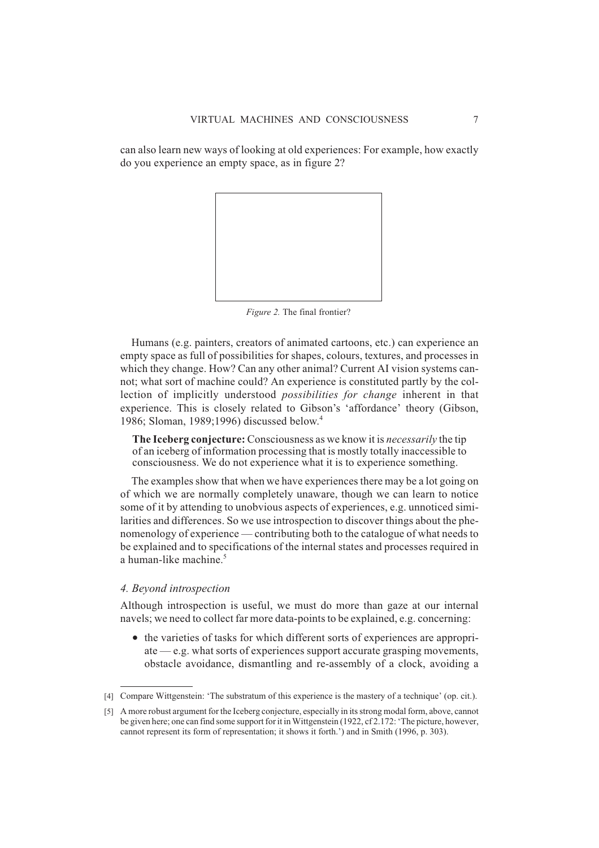can also learn new ways of looking at old experiences: For example, how exactly do you experience an empty space, as in figure 2?



*Figure 2.* The final frontier?

Humans (e.g. painters, creators of animated cartoons, etc.) can experience an empty space as full of possibilities for shapes, colours, textures, and processes in which they change. How? Can any other animal? Current AI vision systems cannot; what sort of machine could? An experience is constituted partly by the collection of implicitly understood *possibilities for change* inherent in that experience. This is closely related to Gibson's 'affordance' theory (Gibson, 1986; Sloman, 1989;1996) discussed below.4

**The Iceberg conjecture:** Consciousness as we know it is *necessarily* the tip of an iceberg of information processing that is mostly totally inaccessible to consciousness. We do not experience what it is to experience something.

The examples show that when we have experiences there may be a lot going on of which we are normally completely unaware, though we can learn to notice some of it by attending to unobvious aspects of experiences, e.g. unnoticed similarities and differences. So we use introspection to discover things about the phenomenology of experience — contributing both to the catalogue of what needs to be explained and to specifications of the internal states and processes required in a human-like machine. $5$ 

#### *4. Beyond introspection*

Although introspection is useful, we must do more than gaze at our internal navels; we need to collect far more data-points to be explained, e.g. concerning:

• the varieties of tasks for which different sorts of experiences are appropriate — e.g. what sorts of experiences support accurate grasping movements, obstacle avoidance, dismantling and re-assembly of a clock, avoiding a

<sup>[4]</sup> Compare Wittgenstein: 'The substratum of this experience is the mastery of a technique' (op. cit.).

<sup>[5]</sup> A more robust argument for the Iceberg conjecture, especially in its strong modal form, above, cannot be given here; one can find some support for it in Wittgenstein (1922, cf 2.172: 'The picture, however, cannot represent its form of representation; it shows it forth.') and in Smith (1996, p. 303).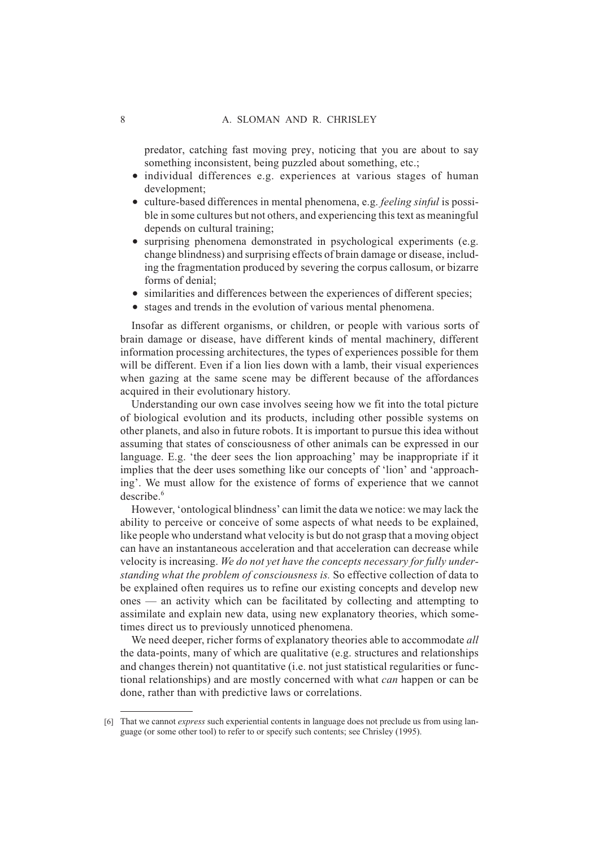predator, catching fast moving prey, noticing that you are about to say something inconsistent, being puzzled about something, etc.;

- individual differences e.g. experiences at various stages of human development;
- culture-based differences in mental phenomena, e.g. *feeling sinful* is possible in some cultures but not others, and experiencing this text as meaningful depends on cultural training;
- surprising phenomena demonstrated in psychological experiments (e.g. change blindness) and surprising effects of brain damage or disease, including the fragmentation produced by severing the corpus callosum, or bizarre forms of denial;
- similarities and differences between the experiences of different species;
- stages and trends in the evolution of various mental phenomena.

Insofar as different organisms, or children, or people with various sorts of brain damage or disease, have different kinds of mental machinery, different information processing architectures, the types of experiences possible for them will be different. Even if a lion lies down with a lamb, their visual experiences when gazing at the same scene may be different because of the affordances acquired in their evolutionary history.

Understanding our own case involves seeing how we fit into the total picture of biological evolution and its products, including other possible systems on other planets, and also in future robots. It is important to pursue this idea without assuming that states of consciousness of other animals can be expressed in our language. E.g. 'the deer sees the lion approaching' may be inappropriate if it implies that the deer uses something like our concepts of 'lion' and 'approaching'. We must allow for the existence of forms of experience that we cannot describe $6$ 

However, 'ontological blindness' can limit the data we notice: we may lack the ability to perceive or conceive of some aspects of what needs to be explained, like people who understand what velocity is but do not grasp that a moving object can have an instantaneous acceleration and that acceleration can decrease while velocity is increasing. *We do not yet have the concepts necessary for fully understanding what the problem of consciousness is.* So effective collection of data to be explained often requires us to refine our existing concepts and develop new ones — an activity which can be facilitated by collecting and attempting to assimilate and explain new data, using new explanatory theories, which sometimes direct us to previously unnoticed phenomena.

We need deeper, richer forms of explanatory theories able to accommodate *all* the data-points, many of which are qualitative (e.g. structures and relationships and changes therein) not quantitative (i.e. not just statistical regularities or functional relationships) and are mostly concerned with what *can* happen or can be done, rather than with predictive laws or correlations.

<sup>[6]</sup> That we cannot *express* such experiential contents in language does not preclude us from using language (or some other tool) to refer to or specify such contents; see Chrisley (1995).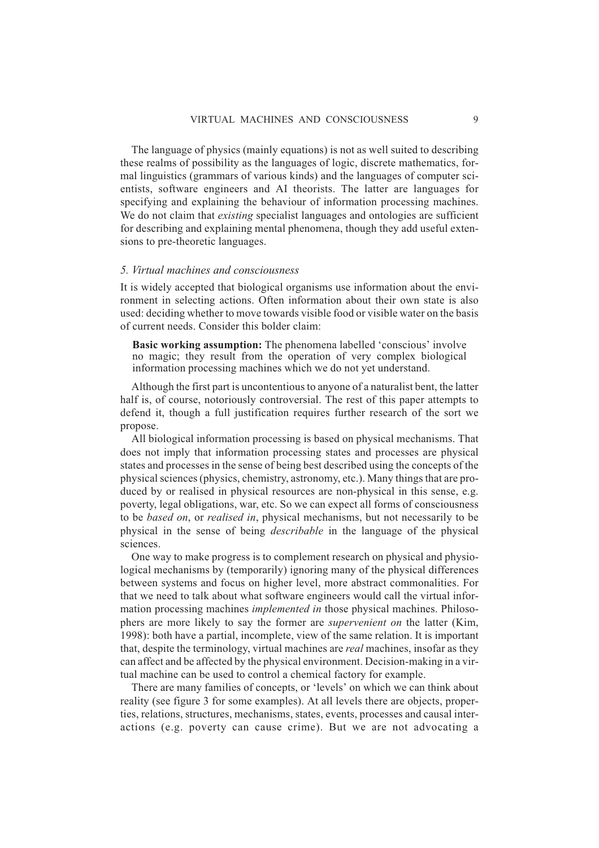The language of physics (mainly equations) is not as well suited to describing these realms of possibility as the languages of logic, discrete mathematics, formal linguistics (grammars of various kinds) and the languages of computer scientists, software engineers and AI theorists. The latter are languages for specifying and explaining the behaviour of information processing machines. We do not claim that *existing* specialist languages and ontologies are sufficient for describing and explaining mental phenomena, though they add useful extensions to pre-theoretic languages.

#### *5. Virtual machines and consciousness*

It is widely accepted that biological organisms use information about the environment in selecting actions. Often information about their own state is also used: deciding whether to move towards visible food or visible water on the basis of current needs. Consider this bolder claim:

**Basic working assumption:** The phenomena labelled 'conscious' involve no magic; they result from the operation of very complex biological information processing machines which we do not yet understand.

Although the first part is uncontentious to anyone of a naturalist bent, the latter half is, of course, notoriously controversial. The rest of this paper attempts to defend it, though a full justification requires further research of the sort we propose.

All biological information processing is based on physical mechanisms. That does not imply that information processing states and processes are physical states and processes in the sense of being best described using the concepts of the physical sciences (physics, chemistry, astronomy, etc.). Many things that are produced by or realised in physical resources are non-physical in this sense, e.g. poverty, legal obligations, war, etc. So we can expect all forms of consciousness to be *based on*, or *realised in*, physical mechanisms, but not necessarily to be physical in the sense of being *describable* in the language of the physical sciences.

One way to make progress is to complement research on physical and physiological mechanisms by (temporarily) ignoring many of the physical differences between systems and focus on higher level, more abstract commonalities. For that we need to talk about what software engineers would call the virtual information processing machines *implemented in* those physical machines. Philosophers are more likely to say the former are *supervenient on* the latter (Kim, 1998): both have a partial, incomplete, view of the same relation. It is important that, despite the terminology, virtual machines are *real* machines, insofar as they can affect and be affected by the physical environment. Decision-making in a virtual machine can be used to control a chemical factory for example.

There are many families of concepts, or 'levels' on which we can think about reality (see figure 3 for some examples). At all levels there are objects, properties, relations, structures, mechanisms, states, events, processes and causal interactions (e.g. poverty can cause crime). But we are not advocating a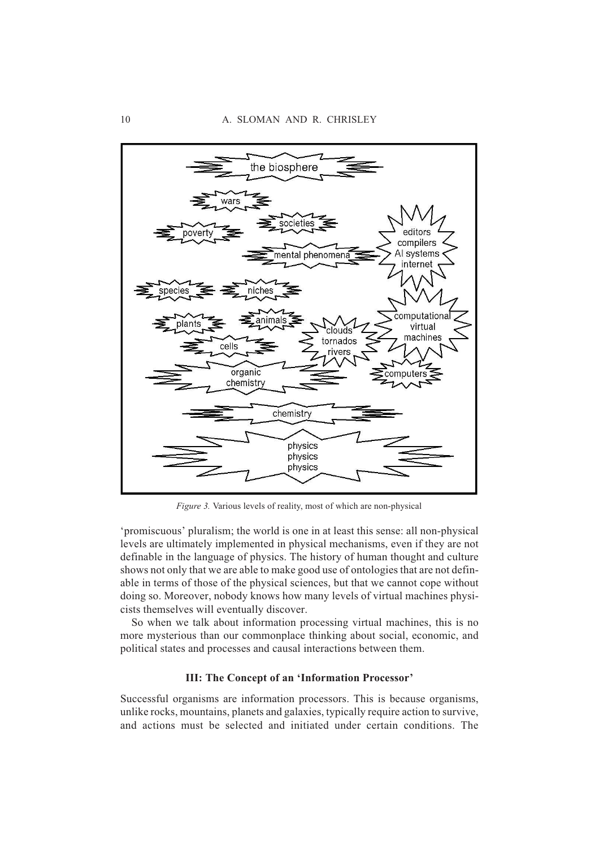

*Figure 3.* Various levels of reality, most of which are non-physical

'promiscuous' pluralism; the world is one in at least this sense: all non-physical levels are ultimately implemented in physical mechanisms, even if they are not definable in the language of physics. The history of human thought and culture shows not only that we are able to make good use of ontologies that are not definable in terms of those of the physical sciences, but that we cannot cope without doing so. Moreover, nobody knows how many levels of virtual machines physicists themselves will eventually discover.

So when we talk about information processing virtual machines, this is no more mysterious than our commonplace thinking about social, economic, and political states and processes and causal interactions between them.

# **III: The Concept of an 'Information Processor'**

Successful organisms are information processors. This is because organisms, unlike rocks, mountains, planets and galaxies, typically require action to survive, and actions must be selected and initiated under certain conditions. The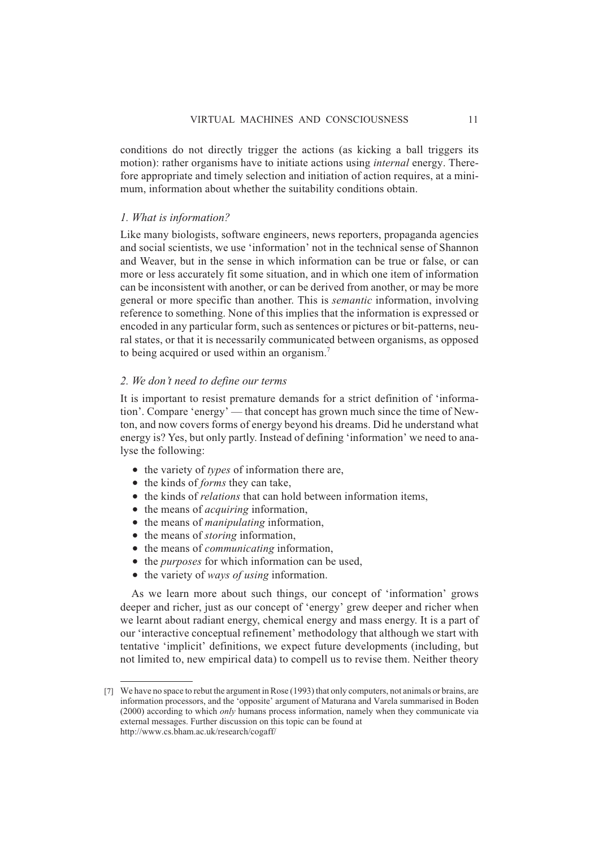conditions do not directly trigger the actions (as kicking a ball triggers its motion): rather organisms have to initiate actions using *internal* energy. Therefore appropriate and timely selection and initiation of action requires, at a minimum, information about whether the suitability conditions obtain.

# *1. What is information?*

Like many biologists, software engineers, news reporters, propaganda agencies and social scientists, we use 'information' not in the technical sense of Shannon and Weaver, but in the sense in which information can be true or false, or can more or less accurately fit some situation, and in which one item of information can be inconsistent with another, or can be derived from another, or may be more general or more specific than another. This is *semantic* information, involving reference to something. None of this implies that the information is expressed or encoded in any particular form, such as sentences or pictures or bit-patterns, neural states, or that it is necessarily communicated between organisms, as opposed to being acquired or used within an organism.7

## *2. We don't need to define our terms*

It is important to resist premature demands for a strict definition of 'information'. Compare 'energy' — that concept has grown much since the time of Newton, and now covers forms of energy beyond his dreams. Did he understand what energy is? Yes, but only partly. Instead of defining 'information' we need to analyse the following:

- the variety of *types* of information there are,
- the kinds of *forms* they can take,
- the kinds of *relations* that can hold between information items,
- the means of *acquiring* information,
- the means of *manipulating* information,
- the means of *storing* information,
- the means of *communicating* information,
- the *purposes* for which information can be used,
- the variety of *ways of using* information.

As we learn more about such things, our concept of 'information' grows deeper and richer, just as our concept of 'energy' grew deeper and richer when we learnt about radiant energy, chemical energy and mass energy. It is a part of our 'interactive conceptual refinement' methodology that although we start with tentative 'implicit' definitions, we expect future developments (including, but not limited to, new empirical data) to compell us to revise them. Neither theory

<sup>[7]</sup> We have no space to rebut the argument in Rose (1993) that only computers, not animals or brains, are information processors, and the 'opposite' argument of Maturana and Varela summarised in Boden (2000) according to which *only* humans process information, namely when they communicate via external messages. Further discussion on this topic can be found at http://www.cs.bham.ac.uk/research/cogaff/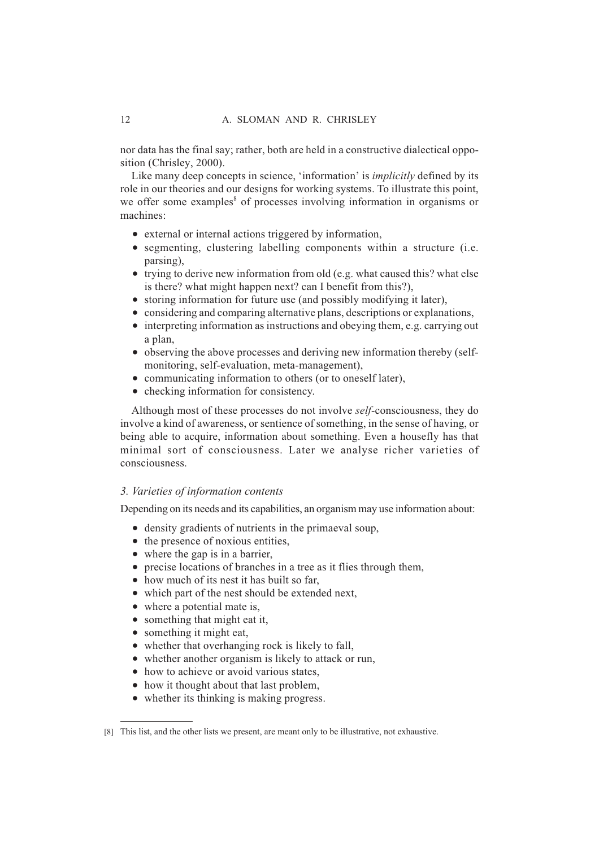nor data has the final say; rather, both are held in a constructive dialectical opposition (Chrisley, 2000).

Like many deep concepts in science, 'information' is *implicitly* defined by its role in our theories and our designs for working systems. To illustrate this point, we offer some examples<sup>8</sup> of processes involving information in organisms or machines:

- external or internal actions triggered by information,
- segmenting, clustering labelling components within a structure (i.e. parsing),
- trying to derive new information from old (e.g. what caused this? what else is there? what might happen next? can I benefit from this?),
- storing information for future use (and possibly modifying it later),
- considering and comparing alternative plans, descriptions or explanations,
- interpreting information as instructions and obeying them, e.g. carrying out a plan,
- observing the above processes and deriving new information thereby (selfmonitoring, self-evaluation, meta-management),
- communicating information to others (or to oneself later),
- checking information for consistency.

Although most of these processes do not involve *self-*consciousness, they do involve a kind of awareness, or sentience of something, in the sense of having, or being able to acquire, information about something. Even a housefly has that minimal sort of consciousness. Later we analyse richer varieties of consciousness.

#### *3. Varieties of information contents*

Depending on its needs and its capabilities, an organism may use information about:

- density gradients of nutrients in the primaeval soup,
- the presence of noxious entities,
- where the gap is in a barrier,
- precise locations of branches in a tree as it flies through them,
- how much of its nest it has built so far.
- which part of the nest should be extended next,
- where a potential mate is,
- something that might eat it,
- something it might eat,
- whether that overhanging rock is likely to fall,
- whether another organism is likely to attack or run,
- how to achieve or avoid various states,
- how it thought about that last problem,
- whether its thinking is making progress.

<sup>[8]</sup> This list, and the other lists we present, are meant only to be illustrative, not exhaustive.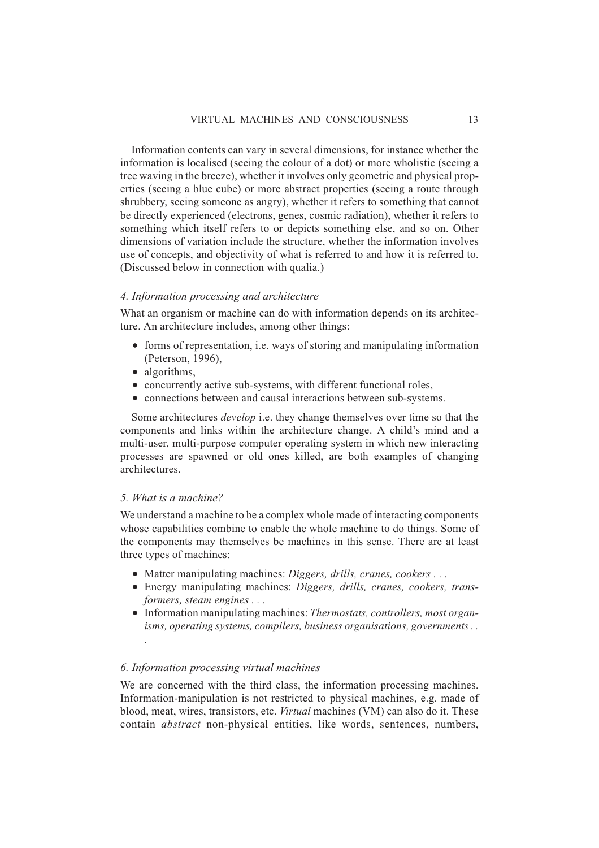Information contents can vary in several dimensions, for instance whether the information is localised (seeing the colour of a dot) or more wholistic (seeing a tree waving in the breeze), whether it involves only geometric and physical properties (seeing a blue cube) or more abstract properties (seeing a route through shrubbery, seeing someone as angry), whether it refers to something that cannot be directly experienced (electrons, genes, cosmic radiation), whether it refers to something which itself refers to or depicts something else, and so on. Other dimensions of variation include the structure, whether the information involves use of concepts, and objectivity of what is referred to and how it is referred to. (Discussed below in connection with qualia.)

#### *4. Information processing and architecture*

What an organism or machine can do with information depends on its architecture. An architecture includes, among other things:

- forms of representation, i.e. ways of storing and manipulating information (Peterson, 1996),
- algorithms,
- concurrently active sub-systems, with different functional roles,
- connections between and causal interactions between sub-systems.

Some architectures *develop* i.e. they change themselves over time so that the components and links within the architecture change. A child's mind and a multi-user, multi-purpose computer operating system in which new interacting processes are spawned or old ones killed, are both examples of changing architectures.

#### *5. What is a machine?*

*.*

We understand a machine to be a complex whole made of interacting components whose capabilities combine to enable the whole machine to do things. Some of the components may themselves be machines in this sense. There are at least three types of machines:

- Matter manipulating machines: *Diggers, drills, cranes, cookers...*
- Energy manipulating machines: *Diggers, drills, cranes, cookers, transformers, steam engines...*
- Information manipulating machines: *Thermostats, controllers, most organisms, operating systems, compilers, business organisations, governments . .*

#### *6. Information processing virtual machines*

We are concerned with the third class, the information processing machines. Information-manipulation is not restricted to physical machines, e.g. made of blood, meat, wires, transistors, etc. *Virtual* machines (VM) can also do it. These contain *abstract* non-physical entities, like words, sentences, numbers,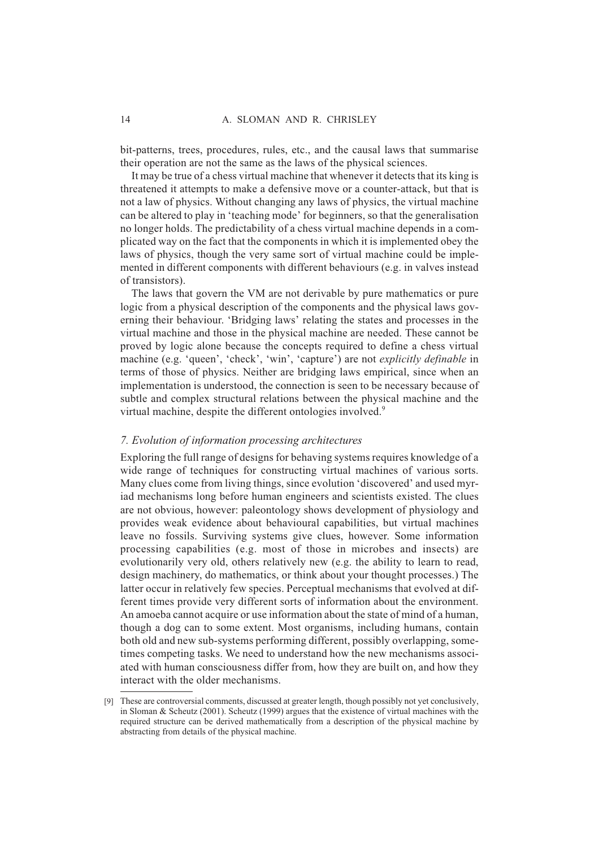bit-patterns, trees, procedures, rules, etc., and the causal laws that summarise their operation are not the same as the laws of the physical sciences.

It may be true of a chess virtual machine that whenever it detects that its king is threatened it attempts to make a defensive move or a counter-attack, but that is not a law of physics. Without changing any laws of physics, the virtual machine can be altered to play in 'teaching mode' for beginners, so that the generalisation no longer holds. The predictability of a chess virtual machine depends in a complicated way on the fact that the components in which it is implemented obey the laws of physics, though the very same sort of virtual machine could be implemented in different components with different behaviours (e.g. in valves instead of transistors).

The laws that govern the VM are not derivable by pure mathematics or pure logic from a physical description of the components and the physical laws governing their behaviour. 'Bridging laws' relating the states and processes in the virtual machine and those in the physical machine are needed. These cannot be proved by logic alone because the concepts required to define a chess virtual machine (e.g. 'queen', 'check', 'win', 'capture') are not *explicitly definable* in terms of those of physics. Neither are bridging laws empirical, since when an implementation is understood, the connection is seen to be necessary because of subtle and complex structural relations between the physical machine and the virtual machine, despite the different ontologies involved.<sup>9</sup>

#### *7. Evolution of information processing architectures*

Exploring the full range of designs for behaving systems requires knowledge of a wide range of techniques for constructing virtual machines of various sorts. Many clues come from living things, since evolution 'discovered' and used myriad mechanisms long before human engineers and scientists existed. The clues are not obvious, however: paleontology shows development of physiology and provides weak evidence about behavioural capabilities, but virtual machines leave no fossils. Surviving systems give clues, however. Some information processing capabilities (e.g. most of those in microbes and insects) are evolutionarily very old, others relatively new (e.g. the ability to learn to read, design machinery, do mathematics, or think about your thought processes.) The latter occur in relatively few species. Perceptual mechanisms that evolved at different times provide very different sorts of information about the environment. An amoeba cannot acquire or use information about the state of mind of a human, though a dog can to some extent. Most organisms, including humans, contain both old and new sub-systems performing different, possibly overlapping, sometimes competing tasks. We need to understand how the new mechanisms associated with human consciousness differ from, how they are built on, and how they interact with the older mechanisms.

<sup>[9]</sup> These are controversial comments, discussed at greater length, though possibly not yet conclusively, in Sloman & Scheutz (2001). Scheutz (1999) argues that the existence of virtual machines with the required structure can be derived mathematically from a description of the physical machine by abstracting from details of the physical machine.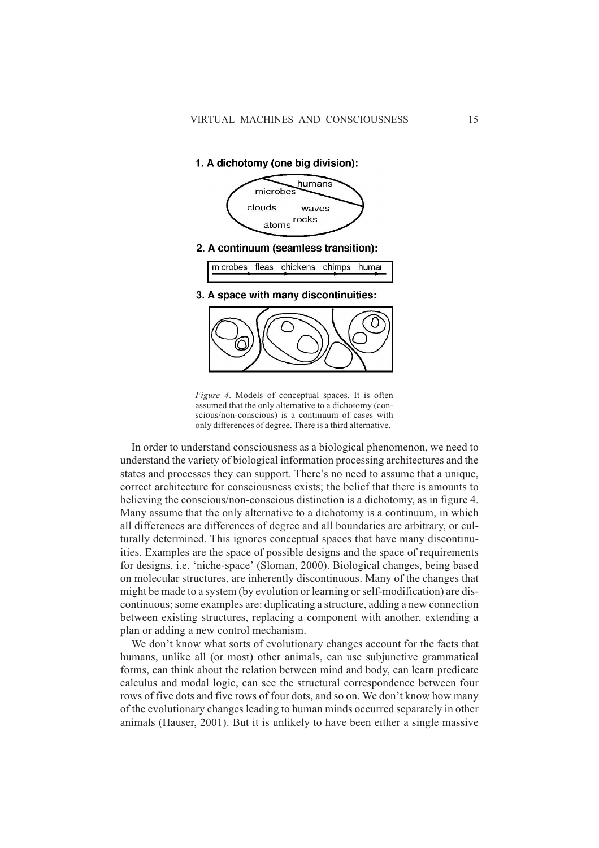1. A dichotomy (one big division):



- fleas chickens chimps humar microbes
- 3. A space with many discontinuities:



*Figure 4*. Models of conceptual spaces. It is often assumed that the only alternative to a dichotomy (conscious/non-conscious) is a continuum of cases with only differences of degree. There is a third alternative.

In order to understand consciousness as a biological phenomenon, we need to understand the variety of biological information processing architectures and the states and processes they can support. There's no need to assume that a unique, correct architecture for consciousness exists; the belief that there is amounts to believing the conscious/non-conscious distinction is a dichotomy, as in figure 4. Many assume that the only alternative to a dichotomy is a continuum, in which all differences are differences of degree and all boundaries are arbitrary, or culturally determined. This ignores conceptual spaces that have many discontinuities. Examples are the space of possible designs and the space of requirements for designs, i.e. 'niche-space' (Sloman, 2000). Biological changes, being based on molecular structures, are inherently discontinuous. Many of the changes that might be made to a system (by evolution or learning or self-modification) are discontinuous; some examples are: duplicating a structure, adding a new connection between existing structures, replacing a component with another, extending a plan or adding a new control mechanism.

We don't know what sorts of evolutionary changes account for the facts that humans, unlike all (or most) other animals, can use subjunctive grammatical forms, can think about the relation between mind and body, can learn predicate calculus and modal logic, can see the structural correspondence between four rows of five dots and five rows of four dots, and so on. We don't know how many of the evolutionary changes leading to human minds occurred separately in other animals (Hauser, 2001). But it is unlikely to have been either a single massive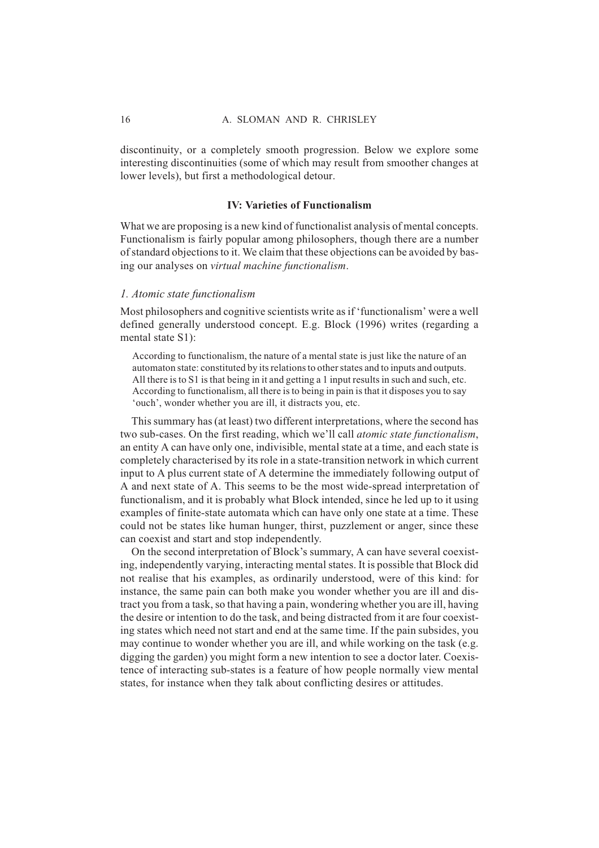discontinuity, or a completely smooth progression. Below we explore some interesting discontinuities (some of which may result from smoother changes at lower levels), but first a methodological detour.

### **IV: Varieties of Functionalism**

What we are proposing is a new kind of functionalist analysis of mental concepts. Functionalism is fairly popular among philosophers, though there are a number of standard objections to it. We claim that these objections can be avoided by basing our analyses on *virtual machine functionalism*.

#### *1. Atomic state functionalism*

Most philosophers and cognitive scientists write as if 'functionalism' were a well defined generally understood concept. E.g. Block (1996) writes (regarding a mental state S1):

According to functionalism, the nature of a mental state is just like the nature of an automaton state: constituted by its relations to other states and to inputs and outputs. All there is to S1 is that being in it and getting a 1 input results in such and such, etc. According to functionalism, all there is to being in pain is that it disposes you to say 'ouch', wonder whether you are ill, it distracts you, etc.

This summary has (at least) two different interpretations, where the second has two sub-cases. On the first reading, which we'll call *atomic state functionalism*, an entity A can have only one, indivisible, mental state at a time, and each state is completely characterised by its role in a state-transition network in which current input to A plus current state of A determine the immediately following output of A and next state of A. This seems to be the most wide-spread interpretation of functionalism, and it is probably what Block intended, since he led up to it using examples of finite-state automata which can have only one state at a time. These could not be states like human hunger, thirst, puzzlement or anger, since these can coexist and start and stop independently.

On the second interpretation of Block's summary, A can have several coexisting, independently varying, interacting mental states. It is possible that Block did not realise that his examples, as ordinarily understood, were of this kind: for instance, the same pain can both make you wonder whether you are ill and distract you from a task, so that having a pain, wondering whether you are ill, having the desire or intention to do the task, and being distracted from it are four coexisting states which need not start and end at the same time. If the pain subsides, you may continue to wonder whether you are ill, and while working on the task (e.g. digging the garden) you might form a new intention to see a doctor later. Coexistence of interacting sub-states is a feature of how people normally view mental states, for instance when they talk about conflicting desires or attitudes.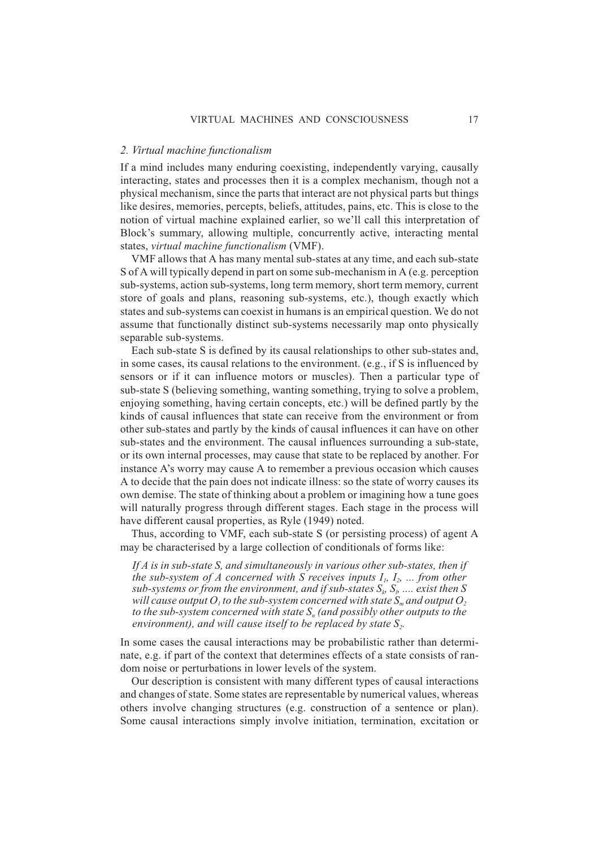#### *2. Virtual machine functionalism*

If a mind includes many enduring coexisting, independently varying, causally interacting, states and processes then it is a complex mechanism, though not a physical mechanism, since the parts that interact are not physical parts but things like desires, memories, percepts, beliefs, attitudes, pains, etc. This is close to the notion of virtual machine explained earlier, so we'll call this interpretation of Block's summary, allowing multiple, concurrently active, interacting mental states, *virtual machine functionalism* (VMF).

VMF allows that A has many mental sub-states at any time, and each sub-state S of A will typically depend in part on some sub-mechanism in A (e.g. perception sub-systems, action sub-systems, long term memory, short term memory, current store of goals and plans, reasoning sub-systems, etc.), though exactly which states and sub-systems can coexist in humans is an empirical question. We do not assume that functionally distinct sub-systems necessarily map onto physically separable sub-systems.

Each sub-state S is defined by its causal relationships to other sub-states and, in some cases, its causal relations to the environment. (e.g., if S is influenced by sensors or if it can influence motors or muscles). Then a particular type of sub-state S (believing something, wanting something, trying to solve a problem, enjoying something, having certain concepts, etc.) will be defined partly by the kinds of causal influences that state can receive from the environment or from other sub-states and partly by the kinds of causal influences it can have on other sub-states and the environment. The causal influences surrounding a sub-state, or its own internal processes, may cause that state to be replaced by another. For instance A's worry may cause A to remember a previous occasion which causes A to decide that the pain does not indicate illness: so the state of worry causes its own demise. The state of thinking about a problem or imagining how a tune goes will naturally progress through different stages. Each stage in the process will have different causal properties, as Ryle (1949) noted.

Thus, according to VMF, each sub-state S (or persisting process) of agent A may be characterised by a large collection of conditionals of forms like:

*If A is in sub-state S, and simultaneously in various other sub-states, then if the sub-system of A concerned with S receives inputs*  $I_1$ *,*  $I_2$ *, ... from other*  $sub\!systems$  or from the environment, and if  $sub\!states$   $S_k$   $S_p$  .... exist then  $S$ *will cause output O<sub>1</sub> to the sub-system concerned with state*  $S<sub>m</sub>$  *and output O<sub>2</sub>* to the sub-system concerned with state S<sub>n</sub> (and possibly other outputs to the *environment), and will cause itself to be replaced by state S<sub>2</sub>.* 

In some cases the causal interactions may be probabilistic rather than determinate, e.g. if part of the context that determines effects of a state consists of random noise or perturbations in lower levels of the system.

Our description is consistent with many different types of causal interactions and changes of state. Some states are representable by numerical values, whereas others involve changing structures (e.g. construction of a sentence or plan). Some causal interactions simply involve initiation, termination, excitation or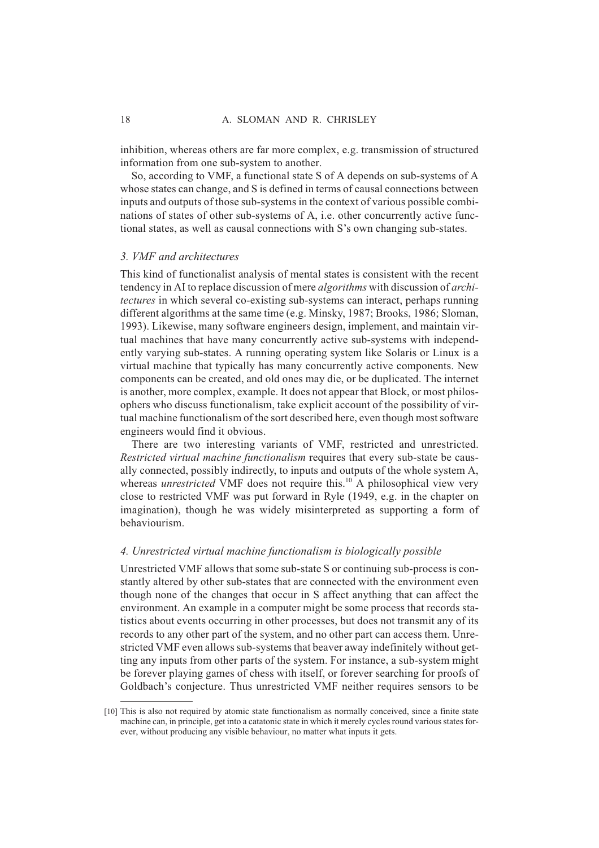inhibition, whereas others are far more complex, e.g. transmission of structured information from one sub-system to another.

So, according to VMF, a functional state S of A depends on sub-systems of A whose states can change, and S is defined in terms of causal connections between inputs and outputs of those sub-systems in the context of various possible combinations of states of other sub-systems of A, i.e. other concurrently active functional states, as well as causal connections with S's own changing sub-states.

#### *3. VMF and architectures*

This kind of functionalist analysis of mental states is consistent with the recent tendency in AI to replace discussion of mere *algorithms* with discussion of *architectures* in which several co-existing sub-systems can interact, perhaps running different algorithms at the same time (e.g. Minsky, 1987; Brooks, 1986; Sloman, 1993). Likewise, many software engineers design, implement, and maintain virtual machines that have many concurrently active sub-systems with independently varying sub-states. A running operating system like Solaris or Linux is a virtual machine that typically has many concurrently active components. New components can be created, and old ones may die, or be duplicated. The internet is another, more complex, example. It does not appear that Block, or most philosophers who discuss functionalism, take explicit account of the possibility of virtual machine functionalism of the sort described here, even though most software engineers would find it obvious.

There are two interesting variants of VMF, restricted and unrestricted. *Restricted virtual machine functionalism* requires that every sub-state be causally connected, possibly indirectly, to inputs and outputs of the whole system A, whereas *unrestricted* VMF does not require this.<sup>10</sup> A philosophical view very close to restricted VMF was put forward in Ryle (1949, e.g. in the chapter on imagination), though he was widely misinterpreted as supporting a form of behaviourism.

#### *4. Unrestricted virtual machine functionalism is biologically possible*

Unrestricted VMF allows that some sub-state S or continuing sub-process is constantly altered by other sub-states that are connected with the environment even though none of the changes that occur in S affect anything that can affect the environment. An example in a computer might be some process that records statistics about events occurring in other processes, but does not transmit any of its records to any other part of the system, and no other part can access them. Unrestricted VMF even allows sub-systems that beaver away indefinitely without getting any inputs from other parts of the system. For instance, a sub-system might be forever playing games of chess with itself, or forever searching for proofs of Goldbach's conjecture. Thus unrestricted VMF neither requires sensors to be

<sup>[10]</sup> This is also not required by atomic state functionalism as normally conceived, since a finite state machine can, in principle, get into a catatonic state in which it merely cycles round various states forever, without producing any visible behaviour, no matter what inputs it gets.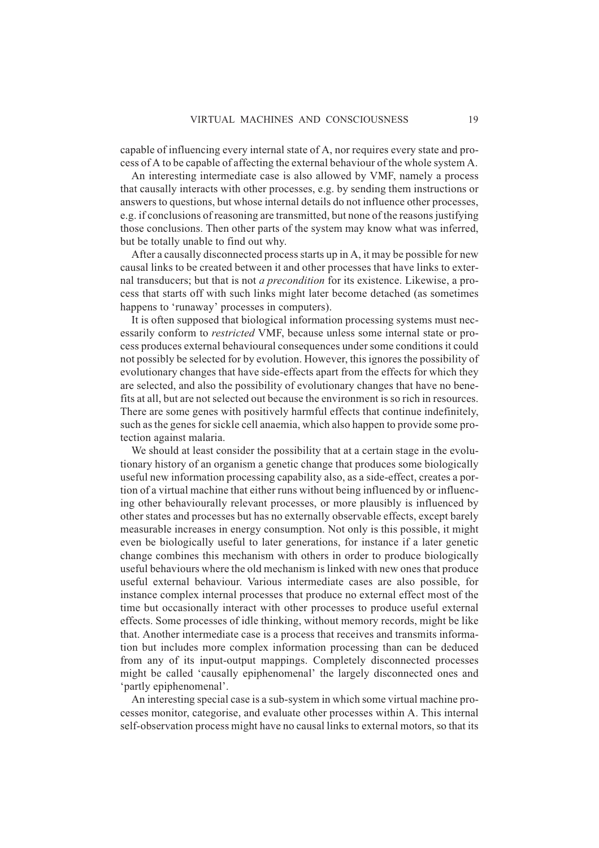capable of influencing every internal state of A, nor requires every state and process of A to be capable of affecting the external behaviour of the whole system A.

An interesting intermediate case is also allowed by VMF, namely a process that causally interacts with other processes, e.g. by sending them instructions or answers to questions, but whose internal details do not influence other processes, e.g. if conclusions of reasoning are transmitted, but none of the reasons justifying those conclusions. Then other parts of the system may know what was inferred, but be totally unable to find out why.

After a causally disconnected process starts up in A, it may be possible for new causal links to be created between it and other processes that have links to external transducers; but that is not *a precondition* for its existence. Likewise, a process that starts off with such links might later become detached (as sometimes happens to 'runaway' processes in computers).

It is often supposed that biological information processing systems must necessarily conform to *restricted* VMF, because unless some internal state or process produces external behavioural consequences under some conditions it could not possibly be selected for by evolution. However, this ignores the possibility of evolutionary changes that have side-effects apart from the effects for which they are selected, and also the possibility of evolutionary changes that have no benefits at all, but are not selected out because the environment is so rich in resources. There are some genes with positively harmful effects that continue indefinitely, such as the genes for sickle cell anaemia, which also happen to provide some protection against malaria.

We should at least consider the possibility that at a certain stage in the evolutionary history of an organism a genetic change that produces some biologically useful new information processing capability also, as a side-effect, creates a portion of a virtual machine that either runs without being influenced by or influencing other behaviourally relevant processes, or more plausibly is influenced by other states and processes but has no externally observable effects, except barely measurable increases in energy consumption. Not only is this possible, it might even be biologically useful to later generations, for instance if a later genetic change combines this mechanism with others in order to produce biologically useful behaviours where the old mechanism is linked with new ones that produce useful external behaviour. Various intermediate cases are also possible, for instance complex internal processes that produce no external effect most of the time but occasionally interact with other processes to produce useful external effects. Some processes of idle thinking, without memory records, might be like that. Another intermediate case is a process that receives and transmits information but includes more complex information processing than can be deduced from any of its input-output mappings. Completely disconnected processes might be called 'causally epiphenomenal' the largely disconnected ones and 'partly epiphenomenal'.

An interesting special case is a sub-system in which some virtual machine processes monitor, categorise, and evaluate other processes within A. This internal self-observation process might have no causal links to external motors, so that its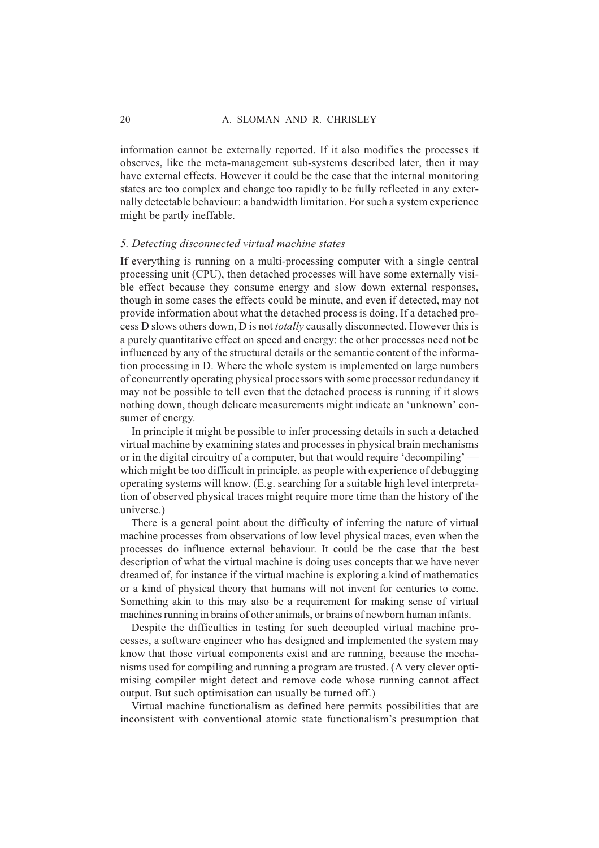information cannot be externally reported. If it also modifies the processes it observes, like the meta-management sub-systems described later, then it may have external effects. However it could be the case that the internal monitoring states are too complex and change too rapidly to be fully reflected in any externally detectable behaviour: a bandwidth limitation. For such a system experience might be partly ineffable.

#### *5. Detecting disconnected virtual machine states*

If everything is running on a multi-processing computer with a single central processing unit (CPU), then detached processes will have some externally visible effect because they consume energy and slow down external responses, though in some cases the effects could be minute, and even if detected, may not provide information about what the detached process is doing. If a detached process D slows others down, D is not *totally* causally disconnected. However this is a purely quantitative effect on speed and energy: the other processes need not be influenced by any of the structural details or the semantic content of the information processing in D. Where the whole system is implemented on large numbers of concurrently operating physical processors with some processor redundancy it may not be possible to tell even that the detached process is running if it slows nothing down, though delicate measurements might indicate an 'unknown' consumer of energy.

In principle it might be possible to infer processing details in such a detached virtual machine by examining states and processes in physical brain mechanisms or in the digital circuitry of a computer, but that would require 'decompiling' which might be too difficult in principle, as people with experience of debugging operating systems will know. (E.g. searching for a suitable high level interpretation of observed physical traces might require more time than the history of the universe.)

There is a general point about the difficulty of inferring the nature of virtual machine processes from observations of low level physical traces, even when the processes do influence external behaviour. It could be the case that the best description of what the virtual machine is doing uses concepts that we have never dreamed of, for instance if the virtual machine is exploring a kind of mathematics or a kind of physical theory that humans will not invent for centuries to come. Something akin to this may also be a requirement for making sense of virtual machines running in brains of other animals, or brains of newborn human infants.

Despite the difficulties in testing for such decoupled virtual machine processes, a software engineer who has designed and implemented the system may know that those virtual components exist and are running, because the mechanisms used for compiling and running a program are trusted. (A very clever optimising compiler might detect and remove code whose running cannot affect output. But such optimisation can usually be turned off.)

Virtual machine functionalism as defined here permits possibilities that are inconsistent with conventional atomic state functionalism's presumption that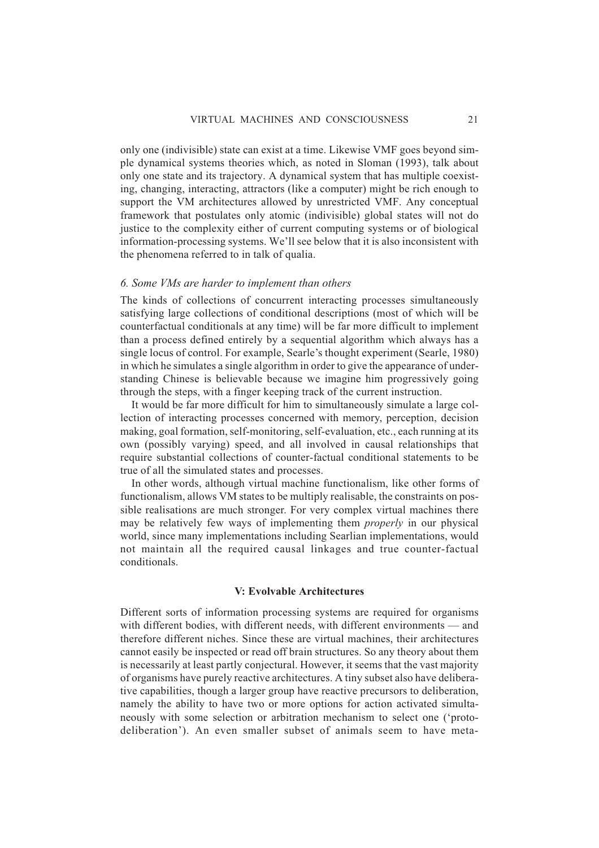only one (indivisible) state can exist at a time. Likewise VMF goes beyond simple dynamical systems theories which, as noted in Sloman (1993), talk about only one state and its trajectory. A dynamical system that has multiple coexisting, changing, interacting, attractors (like a computer) might be rich enough to support the VM architectures allowed by unrestricted VMF. Any conceptual framework that postulates only atomic (indivisible) global states will not do justice to the complexity either of current computing systems or of biological information-processing systems. We'll see below that it is also inconsistent with the phenomena referred to in talk of qualia.

#### *6. Some VMs are harder to implement than others*

The kinds of collections of concurrent interacting processes simultaneously satisfying large collections of conditional descriptions (most of which will be counterfactual conditionals at any time) will be far more difficult to implement than a process defined entirely by a sequential algorithm which always has a single locus of control. For example, Searle's thought experiment (Searle, 1980) in which he simulates a single algorithm in order to give the appearance of understanding Chinese is believable because we imagine him progressively going through the steps, with a finger keeping track of the current instruction.

It would be far more difficult for him to simultaneously simulate a large collection of interacting processes concerned with memory, perception, decision making, goal formation, self-monitoring, self-evaluation, etc., each running at its own (possibly varying) speed, and all involved in causal relationships that require substantial collections of counter-factual conditional statements to be true of all the simulated states and processes.

In other words, although virtual machine functionalism, like other forms of functionalism, allows VM states to be multiply realisable, the constraints on possible realisations are much stronger. For very complex virtual machines there may be relatively few ways of implementing them *properly* in our physical world, since many implementations including Searlian implementations, would not maintain all the required causal linkages and true counter-factual conditionals.

#### **V: Evolvable Architectures**

Different sorts of information processing systems are required for organisms with different bodies, with different needs, with different environments — and therefore different niches. Since these are virtual machines, their architectures cannot easily be inspected or read off brain structures. So any theory about them is necessarily at least partly conjectural. However, it seems that the vast majority of organisms have purely reactive architectures. A tiny subset also have deliberative capabilities, though a larger group have reactive precursors to deliberation, namely the ability to have two or more options for action activated simultaneously with some selection or arbitration mechanism to select one ('protodeliberation'). An even smaller subset of animals seem to have meta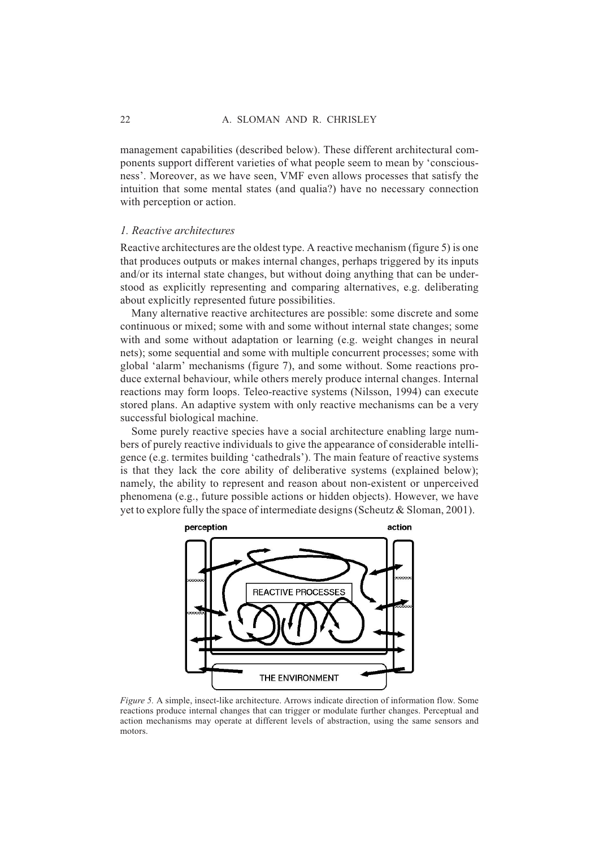management capabilities (described below). These different architectural components support different varieties of what people seem to mean by 'consciousness'. Moreover, as we have seen, VMF even allows processes that satisfy the intuition that some mental states (and qualia?) have no necessary connection with perception or action.

#### *1. Reactive architectures*

Reactive architectures are the oldest type. A reactive mechanism (figure 5) is one that produces outputs or makes internal changes, perhaps triggered by its inputs and/or its internal state changes, but without doing anything that can be understood as explicitly representing and comparing alternatives, e.g. deliberating about explicitly represented future possibilities.

Many alternative reactive architectures are possible: some discrete and some continuous or mixed; some with and some without internal state changes; some with and some without adaptation or learning (e.g. weight changes in neural nets); some sequential and some with multiple concurrent processes; some with global 'alarm' mechanisms (figure 7), and some without. Some reactions produce external behaviour, while others merely produce internal changes. Internal reactions may form loops. Teleo-reactive systems (Nilsson, 1994) can execute stored plans. An adaptive system with only reactive mechanisms can be a very successful biological machine.

Some purely reactive species have a social architecture enabling large numbers of purely reactive individuals to give the appearance of considerable intelligence (e.g. termites building 'cathedrals'). The main feature of reactive systems is that they lack the core ability of deliberative systems (explained below); namely, the ability to represent and reason about non-existent or unperceived phenomena (e.g., future possible actions or hidden objects). However, we have yet to explore fully the space of intermediate designs (Scheutz & Sloman, 2001).



*Figure 5.* A simple, insect-like architecture. Arrows indicate direction of information flow. Some reactions produce internal changes that can trigger or modulate further changes. Perceptual and action mechanisms may operate at different levels of abstraction, using the same sensors and motors.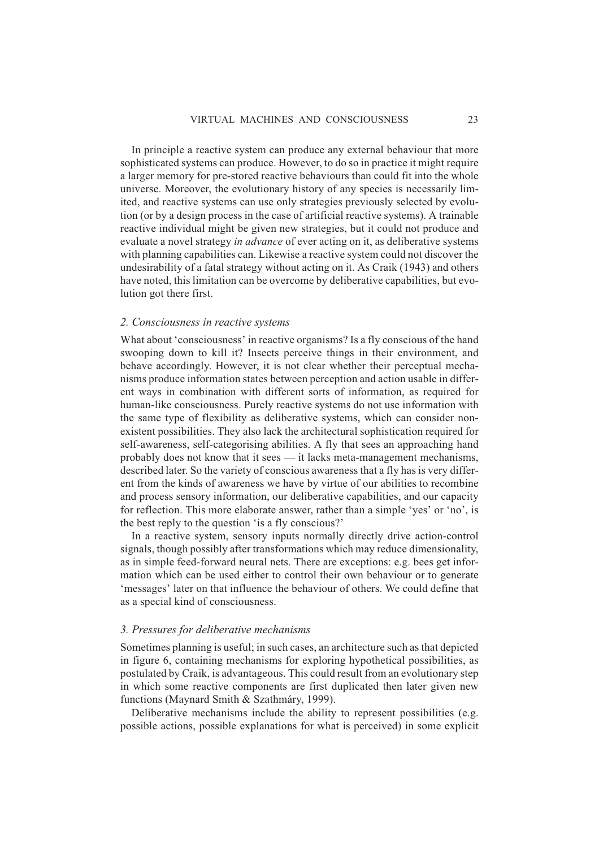In principle a reactive system can produce any external behaviour that more sophisticated systems can produce. However, to do so in practice it might require a larger memory for pre-stored reactive behaviours than could fit into the whole universe. Moreover, the evolutionary history of any species is necessarily limited, and reactive systems can use only strategies previously selected by evolution (or by a design process in the case of artificial reactive systems). A trainable reactive individual might be given new strategies, but it could not produce and evaluate a novel strategy *in advance* of ever acting on it, as deliberative systems with planning capabilities can. Likewise a reactive system could not discover the undesirability of a fatal strategy without acting on it. As Craik (1943) and others have noted, this limitation can be overcome by deliberative capabilities, but evolution got there first.

#### *2. Consciousness in reactive systems*

What about 'consciousness' in reactive organisms? Is a fly conscious of the hand swooping down to kill it? Insects perceive things in their environment, and behave accordingly. However, it is not clear whether their perceptual mechanisms produce information states between perception and action usable in different ways in combination with different sorts of information, as required for human-like consciousness. Purely reactive systems do not use information with the same type of flexibility as deliberative systems, which can consider nonexistent possibilities. They also lack the architectural sophistication required for self-awareness, self-categorising abilities. A fly that sees an approaching hand probably does not know that it sees — it lacks meta-management mechanisms, described later. So the variety of conscious awareness that a fly has is very different from the kinds of awareness we have by virtue of our abilities to recombine and process sensory information, our deliberative capabilities, and our capacity for reflection. This more elaborate answer, rather than a simple 'yes' or 'no', is the best reply to the question 'is a fly conscious?'

In a reactive system, sensory inputs normally directly drive action-control signals, though possibly after transformations which may reduce dimensionality, as in simple feed-forward neural nets. There are exceptions: e.g. bees get information which can be used either to control their own behaviour or to generate 'messages' later on that influence the behaviour of others. We could define that as a special kind of consciousness.

#### *3. Pressures for deliberative mechanisms*

Sometimes planning is useful; in such cases, an architecture such as that depicted in figure 6, containing mechanisms for exploring hypothetical possibilities, as postulated by Craik, is advantageous. This could result from an evolutionary step in which some reactive components are first duplicated then later given new functions (Maynard Smith & Szathmáry, 1999).

Deliberative mechanisms include the ability to represent possibilities (e.g. possible actions, possible explanations for what is perceived) in some explicit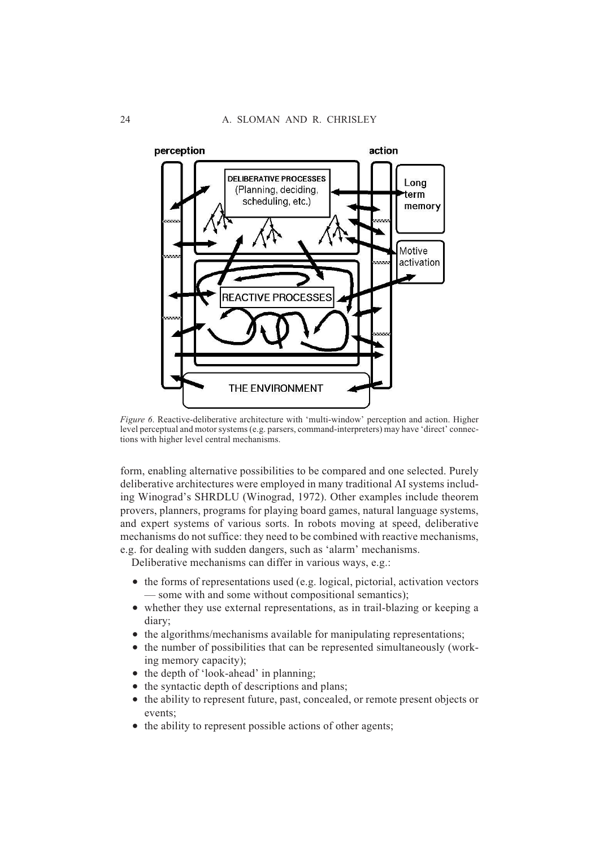

*Figure 6*. Reactive-deliberative architecture with 'multi-window' perception and action. Higher level perceptual and motor systems (e.g. parsers, command-interpreters) may have 'direct' connections with higher level central mechanisms.

form, enabling alternative possibilities to be compared and one selected. Purely deliberative architectures were employed in many traditional AI systems including Winograd's SHRDLU (Winograd, 1972). Other examples include theorem provers, planners, programs for playing board games, natural language systems, and expert systems of various sorts. In robots moving at speed, deliberative mechanisms do not suffice: they need to be combined with reactive mechanisms, e.g. for dealing with sudden dangers, such as 'alarm' mechanisms.

Deliberative mechanisms can differ in various ways, e.g.:

- $\bullet$  the forms of representations used (e.g. logical, pictorial, activation vectors
- some with and some without compositional semantics);
- whether they use external representations, as in trail-blazing or keeping a diary;
- the algorithms/mechanisms available for manipulating representations;
- the number of possibilities that can be represented simultaneously (working memory capacity);
- the depth of 'look-ahead' in planning;
- the syntactic depth of descriptions and plans;
- the ability to represent future, past, concealed, or remote present objects or events;
- the ability to represent possible actions of other agents;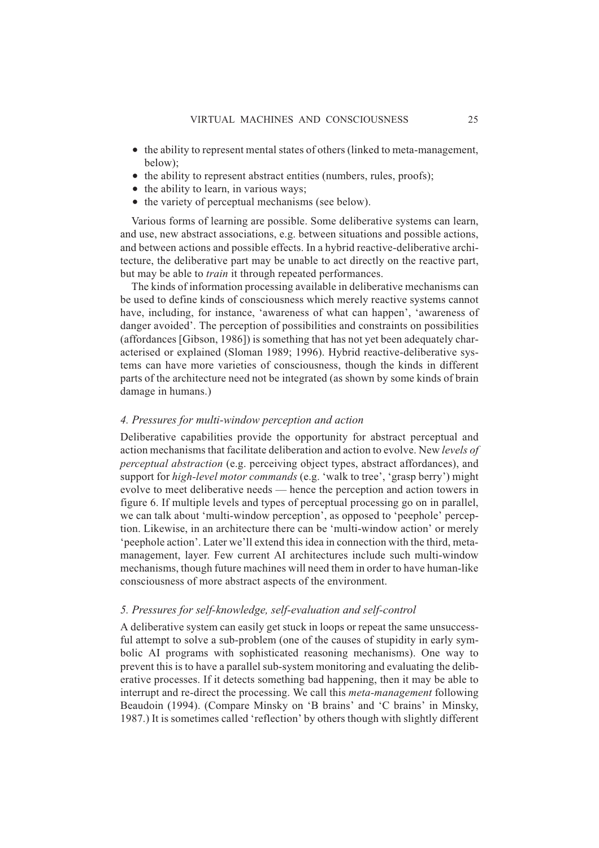- the ability to represent mental states of others (linked to meta-management, below);
- $\bullet$  the ability to represent abstract entities (numbers, rules, proofs);
- the ability to learn, in various ways;
- the variety of perceptual mechanisms (see below).

Various forms of learning are possible. Some deliberative systems can learn, and use, new abstract associations, e.g. between situations and possible actions, and between actions and possible effects. In a hybrid reactive-deliberative architecture, the deliberative part may be unable to act directly on the reactive part, but may be able to *train* it through repeated performances.

The kinds of information processing available in deliberative mechanisms can be used to define kinds of consciousness which merely reactive systems cannot have, including, for instance, 'awareness of what can happen', 'awareness of danger avoided'. The perception of possibilities and constraints on possibilities (affordances [Gibson, 1986]) is something that has not yet been adequately characterised or explained (Sloman 1989; 1996). Hybrid reactive-deliberative systems can have more varieties of consciousness, though the kinds in different parts of the architecture need not be integrated (as shown by some kinds of brain damage in humans.)

#### *4. Pressures for multi-window perception and action*

Deliberative capabilities provide the opportunity for abstract perceptual and action mechanisms that facilitate deliberation and action to evolve. New *levels of perceptual abstraction* (e.g. perceiving object types, abstract affordances), and support for *high-level motor commands* (e.g. 'walk to tree', 'grasp berry') might evolve to meet deliberative needs — hence the perception and action towers in figure 6. If multiple levels and types of perceptual processing go on in parallel, we can talk about 'multi-window perception', as opposed to 'peephole' perception. Likewise, in an architecture there can be 'multi-window action' or merely 'peephole action'. Later we'll extend this idea in connection with the third, metamanagement, layer. Few current AI architectures include such multi-window mechanisms, though future machines will need them in order to have human-like consciousness of more abstract aspects of the environment.

#### *5. Pressures for self-knowledge, self-evaluation and self-control*

A deliberative system can easily get stuck in loops or repeat the same unsuccessful attempt to solve a sub-problem (one of the causes of stupidity in early symbolic AI programs with sophisticated reasoning mechanisms). One way to prevent this is to have a parallel sub-system monitoring and evaluating the deliberative processes. If it detects something bad happening, then it may be able to interrupt and re-direct the processing. We call this *meta-management* following Beaudoin (1994). (Compare Minsky on 'B brains' and 'C brains' in Minsky, 1987.) It is sometimes called 'reflection' by others though with slightly different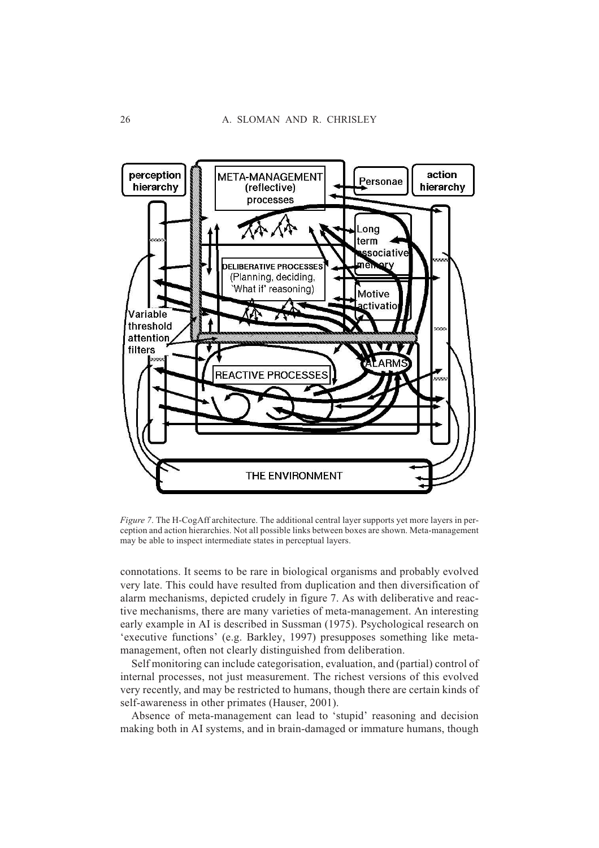

*Figure 7.* The H-CogAff architecture. The additional central layer supports yet more layers in perception and action hierarchies. Not all possible links between boxes are shown. Meta-management may be able to inspect intermediate states in perceptual layers.

connotations. It seems to be rare in biological organisms and probably evolved very late. This could have resulted from duplication and then diversification of alarm mechanisms, depicted crudely in figure 7. As with deliberative and reactive mechanisms, there are many varieties of meta-management. An interesting early example in AI is described in Sussman (1975). Psychological research on 'executive functions' (e.g. Barkley, 1997) presupposes something like metamanagement, often not clearly distinguished from deliberation.

Self monitoring can include categorisation, evaluation, and (partial) control of internal processes, not just measurement. The richest versions of this evolved very recently, and may be restricted to humans, though there are certain kinds of self-awareness in other primates (Hauser, 2001).

Absence of meta-management can lead to 'stupid' reasoning and decision making both in AI systems, and in brain-damaged or immature humans, though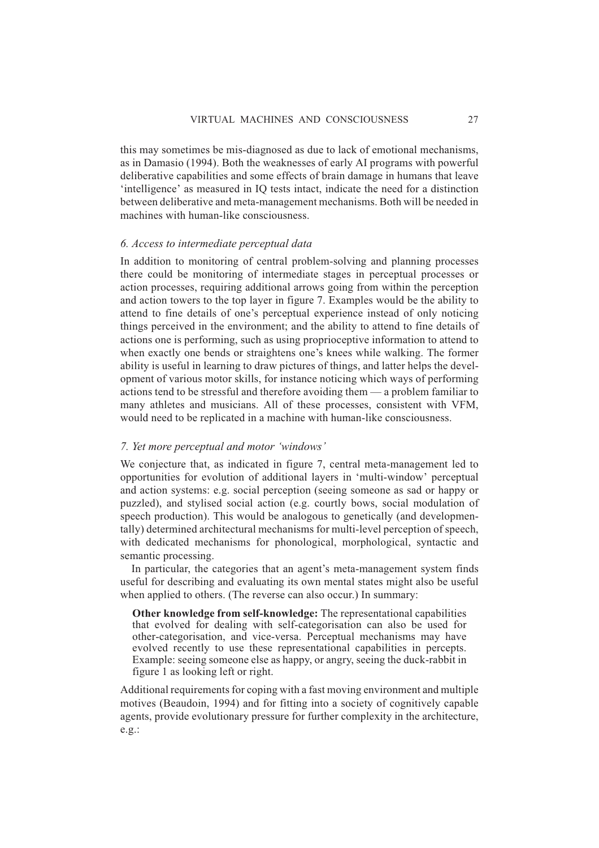this may sometimes be mis-diagnosed as due to lack of emotional mechanisms, as in Damasio (1994). Both the weaknesses of early AI programs with powerful deliberative capabilities and some effects of brain damage in humans that leave 'intelligence' as measured in IQ tests intact, indicate the need for a distinction between deliberative and meta-management mechanisms. Both will be needed in machines with human-like consciousness.

#### *6. Access to intermediate perceptual data*

In addition to monitoring of central problem-solving and planning processes there could be monitoring of intermediate stages in perceptual processes or action processes, requiring additional arrows going from within the perception and action towers to the top layer in figure 7. Examples would be the ability to attend to fine details of one's perceptual experience instead of only noticing things perceived in the environment; and the ability to attend to fine details of actions one is performing, such as using proprioceptive information to attend to when exactly one bends or straightens one's knees while walking. The former ability is useful in learning to draw pictures of things, and latter helps the development of various motor skills, for instance noticing which ways of performing actions tend to be stressful and therefore avoiding them — a problem familiar to many athletes and musicians. All of these processes, consistent with VFM, would need to be replicated in a machine with human-like consciousness.

#### *7. Yet more perceptual and motor 'windows'*

We conjecture that, as indicated in figure 7, central meta-management led to opportunities for evolution of additional layers in 'multi-window' perceptual and action systems: e.g. social perception (seeing someone as sad or happy or puzzled), and stylised social action (e.g. courtly bows, social modulation of speech production). This would be analogous to genetically (and developmentally) determined architectural mechanisms for multi-level perception of speech, with dedicated mechanisms for phonological, morphological, syntactic and semantic processing.

In particular, the categories that an agent's meta-management system finds useful for describing and evaluating its own mental states might also be useful when applied to others. (The reverse can also occur.) In summary:

**Other knowledge from self-knowledge:** The representational capabilities that evolved for dealing with self-categorisation can also be used for other-categorisation, and vice-versa. Perceptual mechanisms may have evolved recently to use these representational capabilities in percepts. Example: seeing someone else as happy, or angry, seeing the duck-rabbit in figure 1 as looking left or right.

Additional requirements for coping with a fast moving environment and multiple motives (Beaudoin, 1994) and for fitting into a society of cognitively capable agents, provide evolutionary pressure for further complexity in the architecture, e.g.: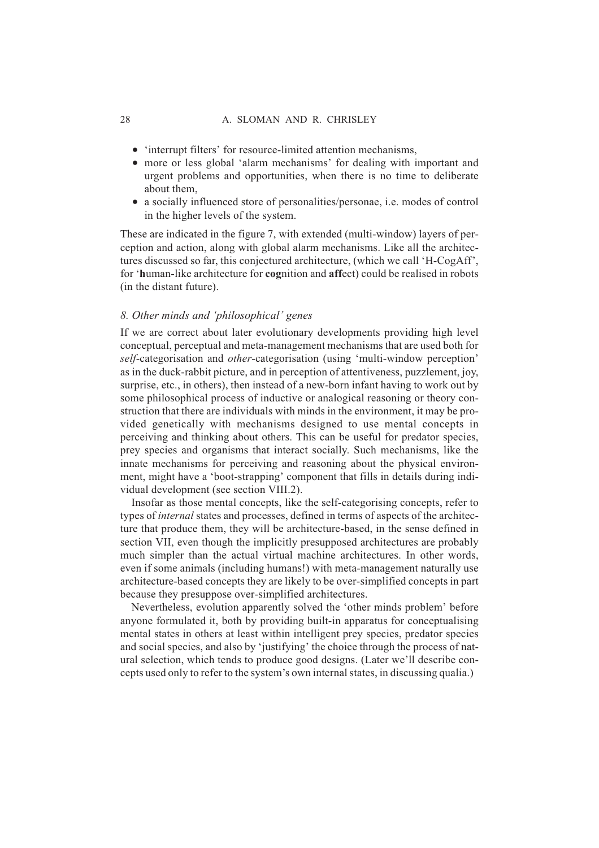- 'interrupt filters' for resource-limited attention mechanisms,
- more or less global 'alarm mechanisms' for dealing with important and urgent problems and opportunities, when there is no time to deliberate about them,
- a socially influenced store of personalities/personae, i.e. modes of control in the higher levels of the system.

These are indicated in the figure 7, with extended (multi-window) layers of perception and action, along with global alarm mechanisms. Like all the architectures discussed so far, this conjectured architecture, (which we call 'H-CogAff', for '**h**uman-like architecture for **cog**nition and **aff**ect) could be realised in robots (in the distant future).

# *8. Other minds and 'philosophical' genes*

If we are correct about later evolutionary developments providing high level conceptual, perceptual and meta-management mechanisms that are used both for *self*-categorisation and *other*-categorisation (using 'multi-window perception' as in the duck-rabbit picture, and in perception of attentiveness, puzzlement, joy, surprise, etc., in others), then instead of a new-born infant having to work out by some philosophical process of inductive or analogical reasoning or theory construction that there are individuals with minds in the environment, it may be provided genetically with mechanisms designed to use mental concepts in perceiving and thinking about others. This can be useful for predator species, prey species and organisms that interact socially. Such mechanisms, like the innate mechanisms for perceiving and reasoning about the physical environment, might have a 'boot-strapping' component that fills in details during individual development (see section VIII.2).

Insofar as those mental concepts, like the self-categorising concepts, refer to types of *internal* states and processes, defined in terms of aspects of the architecture that produce them, they will be architecture-based, in the sense defined in section VII, even though the implicitly presupposed architectures are probably much simpler than the actual virtual machine architectures. In other words, even if some animals (including humans!) with meta-management naturally use architecture-based concepts they are likely to be over-simplified concepts in part because they presuppose over-simplified architectures.

Nevertheless, evolution apparently solved the 'other minds problem' before anyone formulated it, both by providing built-in apparatus for conceptualising mental states in others at least within intelligent prey species, predator species and social species, and also by 'justifying' the choice through the process of natural selection, which tends to produce good designs. (Later we'll describe concepts used only to refer to the system's own internal states, in discussing qualia.)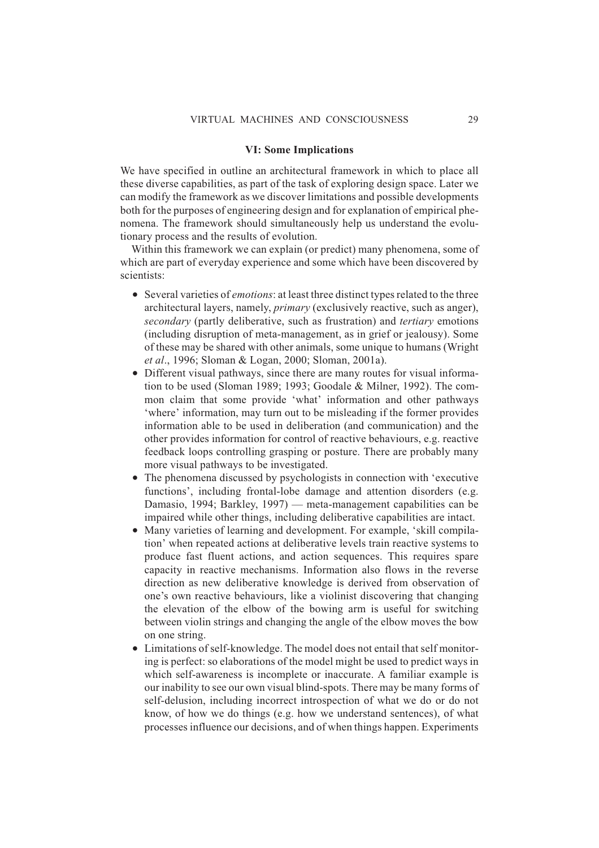#### **VI: Some Implications**

We have specified in outline an architectural framework in which to place all these diverse capabilities, as part of the task of exploring design space. Later we can modify the framework as we discover limitations and possible developments both for the purposes of engineering design and for explanation of empirical phenomena. The framework should simultaneously help us understand the evolutionary process and the results of evolution.

Within this framework we can explain (or predict) many phenomena, some of which are part of everyday experience and some which have been discovered by scientists:

- Several varieties of *emotions*: at least three distinct types related to the three architectural layers, namely, *primary* (exclusively reactive, such as anger), *secondary* (partly deliberative, such as frustration) and *tertiary* emotions (including disruption of meta-management, as in grief or jealousy). Some of these may be shared with other animals, some unique to humans (Wright *et al*., 1996; Sloman & Logan, 2000; Sloman, 2001a).
- Different visual pathways, since there are many routes for visual information to be used (Sloman 1989; 1993; Goodale & Milner, 1992). The common claim that some provide 'what' information and other pathways 'where' information, may turn out to be misleading if the former provides information able to be used in deliberation (and communication) and the other provides information for control of reactive behaviours, e.g. reactive feedback loops controlling grasping or posture. There are probably many more visual pathways to be investigated.
- The phenomena discussed by psychologists in connection with 'executive functions', including frontal-lobe damage and attention disorders (e.g. Damasio, 1994; Barkley, 1997) — meta-management capabilities can be impaired while other things, including deliberative capabilities are intact.
- Many varieties of learning and development. For example, 'skill compilation' when repeated actions at deliberative levels train reactive systems to produce fast fluent actions, and action sequences. This requires spare capacity in reactive mechanisms. Information also flows in the reverse direction as new deliberative knowledge is derived from observation of one's own reactive behaviours, like a violinist discovering that changing the elevation of the elbow of the bowing arm is useful for switching between violin strings and changing the angle of the elbow moves the bow on one string.
- Limitations of self-knowledge. The model does not entail that self monitoring is perfect: so elaborations of the model might be used to predict ways in which self-awareness is incomplete or inaccurate. A familiar example is our inability to see our own visual blind-spots. There may be many forms of self-delusion, including incorrect introspection of what we do or do not know, of how we do things (e.g. how we understand sentences), of what processes influence our decisions, and of when things happen. Experiments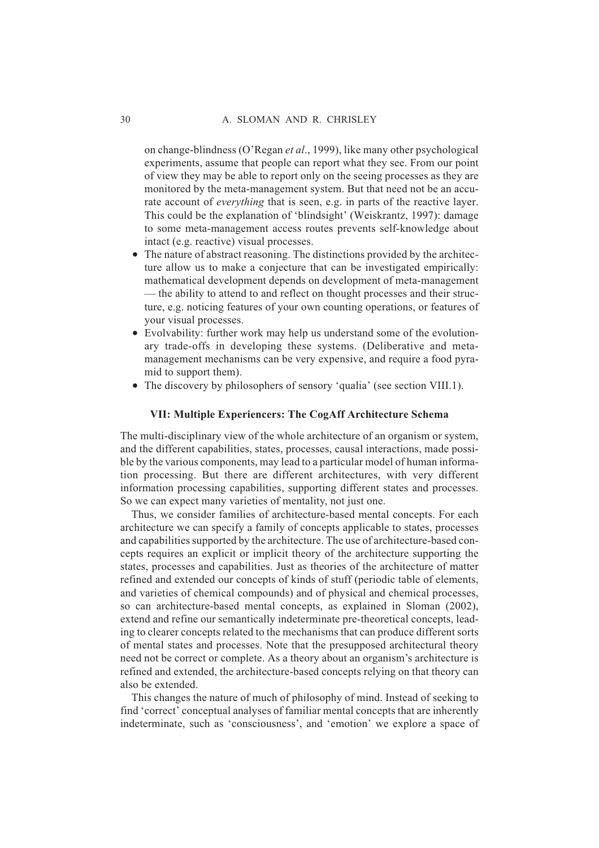on change-blindness (O'Regan *et al*., 1999), like many other psychological experiments, assume that people can report what they see. From our point of view they may be able to report only on the seeing processes as they are monitored by the meta-management system. But that need not be an accurate account of *everything* that is seen, e.g. in parts of the reactive layer. This could be the explanation of 'blindsight' (Weiskrantz, 1997): damage to some meta-management access routes prevents self-knowledge about intact (e.g. reactive) visual processes.

- The nature of abstract reasoning. The distinctions provided by the architecture allow us to make a conjecture that can be investigated empirically: mathematical development depends on development of meta-management — the ability to attend to and reflect on thought processes and their structure, e.g. noticing features of your own counting operations, or features of your visual processes.
- Evolvability: further work may help us understand some of the evolutionary trade-offs in developing these systems. (Deliberative and metamanagement mechanisms can be very expensive, and require a food pyramid to support them).
- The discovery by philosophers of sensory 'qualia' (see section VIII.1).

#### **VII: Multiple Experiencers: The CogAff Architecture Schema**

The multi-disciplinary view of the whole architecture of an organism or system, and the different capabilities, states, processes, causal interactions, made possible by the various components, may lead to a particular model of human information processing. But there are different architectures, with very different information processing capabilities, supporting different states and processes. So we can expect many varieties of mentality, not just one.

Thus, we consider families of architecture-based mental concepts. For each architecture we can specify a family of concepts applicable to states, processes and capabilities supported by the architecture. The use of architecture-based concepts requires an explicit or implicit theory of the architecture supporting the states, processes and capabilities. Just as theories of the architecture of matter refined and extended our concepts of kinds of stuff (periodic table of elements, and varieties of chemical compounds) and of physical and chemical processes, so can architecture-based mental concepts, as explained in Sloman (2002), extend and refine our semantically indeterminate pre-theoretical concepts, leading to clearer concepts related to the mechanisms that can produce different sorts of mental states and processes. Note that the presupposed architectural theory need not be correct or complete. As a theory about an organism's architecture is refined and extended, the architecture-based concepts relying on that theory can also be extended.

This changes the nature of much of philosophy of mind. Instead of seeking to find 'correct' conceptual analyses of familiar mental concepts that are inherently indeterminate, such as 'consciousness', and 'emotion' we explore a space of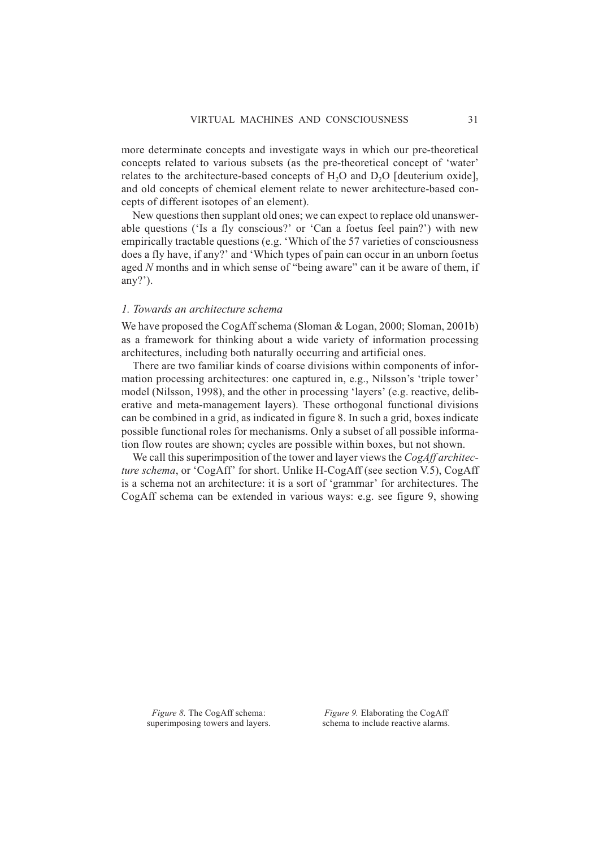more determinate concepts and investigate ways in which our pre-theoretical concepts related to various subsets (as the pre-theoretical concept of 'water' relates to the architecture-based concepts of  $H<sub>2</sub>O$  and  $D<sub>2</sub>O$  [deuterium oxide], and old concepts of chemical element relate to newer architecture-based concepts of different isotopes of an element).

New questions then supplant old ones; we can expect to replace old unanswerable questions ('Is a fly conscious?' or 'Can a foetus feel pain?') with new empirically tractable questions (e.g. 'Which of the 57 varieties of consciousness does a fly have, if any?' and 'Which types of pain can occur in an unborn foetus aged *N* months and in which sense of "being aware" can it be aware of them, if any?').

#### *1. Towards an architecture schema*

We have proposed the CogAff schema (Sloman & Logan, 2000; Sloman, 2001b) as a framework for thinking about a wide variety of information processing architectures, including both naturally occurring and artificial ones.

There are two familiar kinds of coarse divisions within components of information processing architectures: one captured in, e.g., Nilsson's 'triple tower' model (Nilsson, 1998), and the other in processing 'layers' (e.g. reactive, deliberative and meta-management layers). These orthogonal functional divisions can be combined in a grid, as indicated in figure 8. In such a grid, boxes indicate possible functional roles for mechanisms. Only a subset of all possible information flow routes are shown; cycles are possible within boxes, but not shown.

We call this superimposition of the tower and layer views the *CogAff architecture schema*, or 'CogAff' for short. Unlike H-CogAff (see section V.5), CogAff is a schema not an architecture: it is a sort of 'grammar' for architectures. The CogAff schema can be extended in various ways: e.g. see figure 9, showing

*Figure 8.* The CogAff schema: superimposing towers and layers.

*Figure 9.* Elaborating the CogAff schema to include reactive alarms.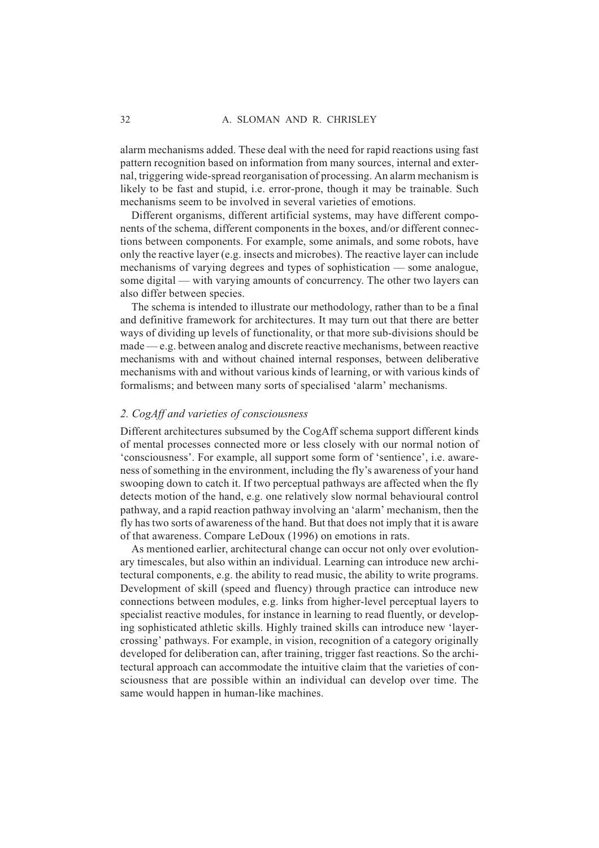alarm mechanisms added. These deal with the need for rapid reactions using fast pattern recognition based on information from many sources, internal and external, triggering wide-spread reorganisation of processing. An alarm mechanism is likely to be fast and stupid, i.e. error-prone, though it may be trainable. Such mechanisms seem to be involved in several varieties of emotions.

Different organisms, different artificial systems, may have different components of the schema, different components in the boxes, and/or different connections between components. For example, some animals, and some robots, have only the reactive layer (e.g. insects and microbes). The reactive layer can include mechanisms of varying degrees and types of sophistication — some analogue, some digital — with varying amounts of concurrency. The other two layers can also differ between species.

The schema is intended to illustrate our methodology, rather than to be a final and definitive framework for architectures. It may turn out that there are better ways of dividing up levels of functionality, or that more sub-divisions should be made — e.g. between analog and discrete reactive mechanisms, between reactive mechanisms with and without chained internal responses, between deliberative mechanisms with and without various kinds of learning, or with various kinds of formalisms; and between many sorts of specialised 'alarm' mechanisms.

#### *2. CogAff and varieties of consciousness*

Different architectures subsumed by the CogAff schema support different kinds of mental processes connected more or less closely with our normal notion of 'consciousness'. For example, all support some form of 'sentience', i.e. awareness of something in the environment, including the fly's awareness of your hand swooping down to catch it. If two perceptual pathways are affected when the fly detects motion of the hand, e.g. one relatively slow normal behavioural control pathway, and a rapid reaction pathway involving an 'alarm' mechanism, then the fly has two sorts of awareness of the hand. But that does not imply that it is aware of that awareness. Compare LeDoux (1996) on emotions in rats.

As mentioned earlier, architectural change can occur not only over evolutionary timescales, but also within an individual. Learning can introduce new architectural components, e.g. the ability to read music, the ability to write programs. Development of skill (speed and fluency) through practice can introduce new connections between modules, e.g. links from higher-level perceptual layers to specialist reactive modules, for instance in learning to read fluently, or developing sophisticated athletic skills. Highly trained skills can introduce new 'layercrossing' pathways. For example, in vision, recognition of a category originally developed for deliberation can, after training, trigger fast reactions. So the architectural approach can accommodate the intuitive claim that the varieties of consciousness that are possible within an individual can develop over time. The same would happen in human-like machines.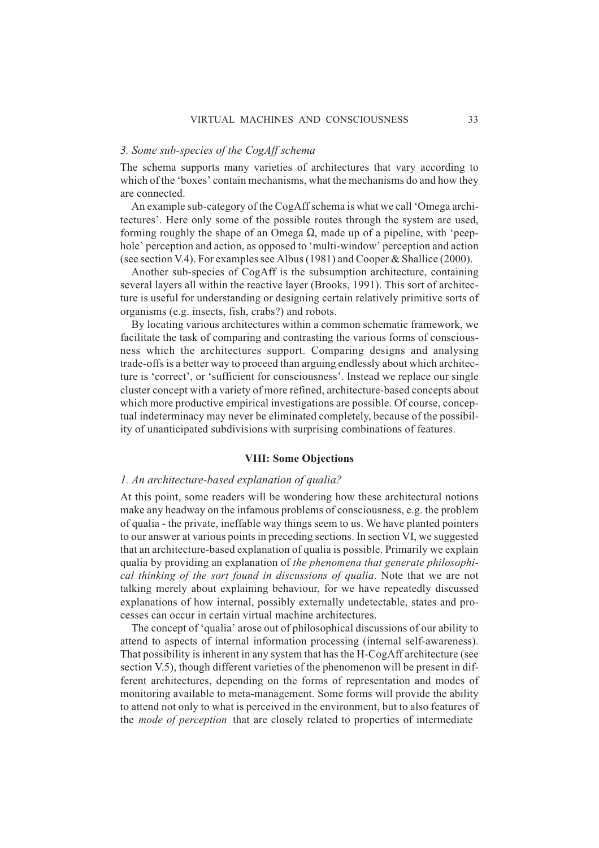#### *3. Some sub-species of the CogAff schema*

The schema supports many varieties of architectures that vary according to which of the 'boxes' contain mechanisms, what the mechanisms do and how they are connected.

An example sub-category of the CogAff schema is what we call 'Omega architectures'. Here only some of the possible routes through the system are used, forming roughly the shape of an Omega  $\Omega$ , made up of a pipeline, with 'peephole' perception and action, as opposed to 'multi-window' perception and action (see section V.4). For examples see Albus (1981) and Cooper & Shallice (2000).

Another sub-species of CogAff is the subsumption architecture, containing several layers all within the reactive layer (Brooks, 1991). This sort of architecture is useful for understanding or designing certain relatively primitive sorts of organisms (e.g. insects, fish, crabs?) and robots.

By locating various architectures within a common schematic framework, we facilitate the task of comparing and contrasting the various forms of consciousness which the architectures support. Comparing designs and analysing trade-offs is a better way to proceed than arguing endlessly about which architecture is 'correct', or 'sufficient for consciousness'. Instead we replace our single cluster concept with a variety of more refined, architecture-based concepts about which more productive empirical investigations are possible. Of course, conceptual indeterminacy may never be eliminated completely, because of the possibility of unanticipated subdivisions with surprising combinations of features.

#### **VIII: Some Objections**

#### *1. An architecture-based explanation of qualia?*

At this point, some readers will be wondering how these architectural notions make any headway on the infamous problems of consciousness, e.g. the problem of qualia - the private, ineffable way things seem to us. We have planted pointers to our answer at various points in preceding sections. In section VI, we suggested that an architecture-based explanation of qualia is possible. Primarily we explain qualia by providing an explanation of *the phenomena that generate philosophical thinking of the sort found in discussions of qualia*. Note that we are not talking merely about explaining behaviour, for we have repeatedly discussed explanations of how internal, possibly externally undetectable, states and processes can occur in certain virtual machine architectures.

The concept of 'qualia' arose out of philosophical discussions of our ability to attend to aspects of internal information processing (internal self-awareness). That possibility is inherent in any system that has the H-CogAff architecture (see section V.5), though different varieties of the phenomenon will be present in different architectures, depending on the forms of representation and modes of monitoring available to meta-management. Some forms will provide the ability to attend not only to what is perceived in the environment, but to also features of the *mode of perception* that are closely related to properties of intermediate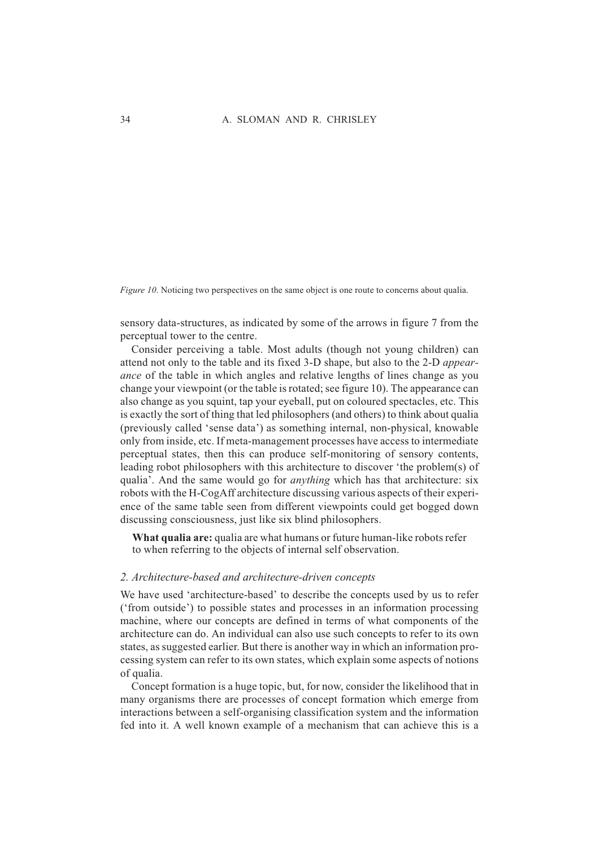*Figure 10*. Noticing two perspectives on the same object is one route to concerns about qualia.

sensory data-structures, as indicated by some of the arrows in figure 7 from the perceptual tower to the centre.

Consider perceiving a table. Most adults (though not young children) can attend not only to the table and its fixed 3-D shape, but also to the 2-D *appearance* of the table in which angles and relative lengths of lines change as you change your viewpoint (or the table is rotated; see figure 10). The appearance can also change as you squint, tap your eyeball, put on coloured spectacles, etc. This is exactly the sort of thing that led philosophers (and others) to think about qualia (previously called 'sense data') as something internal, non-physical, knowable only from inside, etc. If meta-management processes have access to intermediate perceptual states, then this can produce self-monitoring of sensory contents, leading robot philosophers with this architecture to discover 'the problem(s) of qualia'. And the same would go for *anything* which has that architecture: six robots with the H-CogAff architecture discussing various aspects of their experience of the same table seen from different viewpoints could get bogged down discussing consciousness, just like six blind philosophers.

**What qualia are:** qualia are what humans or future human-like robots refer to when referring to the objects of internal self observation.

#### *2. Architecture-based and architecture-driven concepts*

We have used 'architecture-based' to describe the concepts used by us to refer ('from outside') to possible states and processes in an information processing machine, where our concepts are defined in terms of what components of the architecture can do. An individual can also use such concepts to refer to its own states, as suggested earlier. But there is another way in which an information processing system can refer to its own states, which explain some aspects of notions of qualia.

Concept formation is a huge topic, but, for now, consider the likelihood that in many organisms there are processes of concept formation which emerge from interactions between a self-organising classification system and the information fed into it. A well known example of a mechanism that can achieve this is a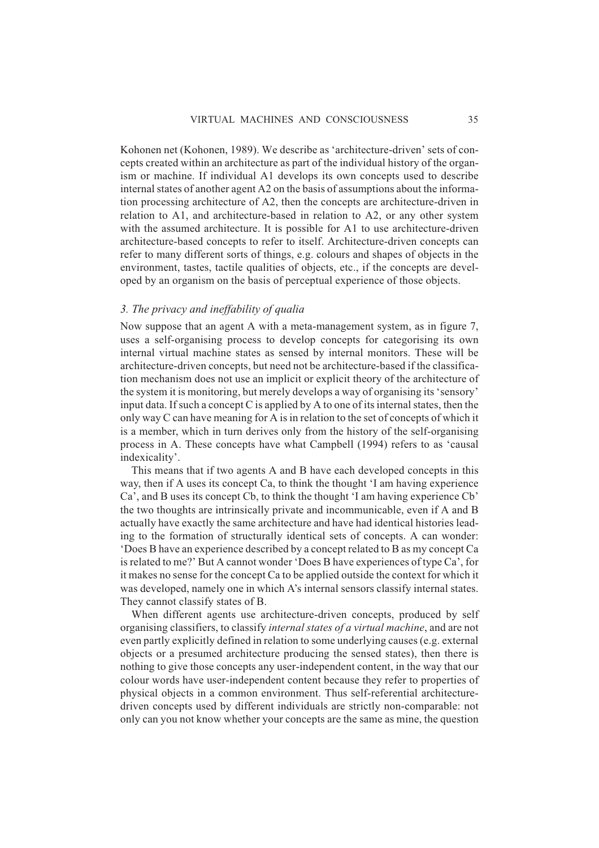Kohonen net (Kohonen, 1989). We describe as 'architecture-driven' sets of concepts created within an architecture as part of the individual history of the organism or machine. If individual A1 develops its own concepts used to describe internal states of another agent A2 on the basis of assumptions about the information processing architecture of A2, then the concepts are architecture-driven in relation to A1, and architecture-based in relation to A2, or any other system with the assumed architecture. It is possible for A1 to use architecture-driven architecture-based concepts to refer to itself. Architecture-driven concepts can refer to many different sorts of things, e.g. colours and shapes of objects in the environment, tastes, tactile qualities of objects, etc., if the concepts are developed by an organism on the basis of perceptual experience of those objects.

#### *3. The privacy and ineffability of qualia*

Now suppose that an agent A with a meta-management system, as in figure 7, uses a self-organising process to develop concepts for categorising its own internal virtual machine states as sensed by internal monitors. These will be architecture-driven concepts, but need not be architecture-based if the classification mechanism does not use an implicit or explicit theory of the architecture of the system it is monitoring, but merely develops a way of organising its 'sensory' input data. If such a concept C is applied by A to one of its internal states, then the only way C can have meaning for A is in relation to the set of concepts of which it is a member, which in turn derives only from the history of the self-organising process in A. These concepts have what Campbell (1994) refers to as 'causal indexicality'.

This means that if two agents A and B have each developed concepts in this way, then if A uses its concept Ca, to think the thought 'I am having experience Ca', and B uses its concept Cb, to think the thought 'I am having experience Cb' the two thoughts are intrinsically private and incommunicable, even if A and B actually have exactly the same architecture and have had identical histories leading to the formation of structurally identical sets of concepts. A can wonder: 'Does B have an experience described by a concept related to B as my concept Ca is related to me?' But A cannot wonder 'Does B have experiences of type Ca', for it makes no sense for the concept Ca to be applied outside the context for which it was developed, namely one in which A's internal sensors classify internal states. They cannot classify states of B.

When different agents use architecture-driven concepts, produced by self organising classifiers, to classify *internal states of a virtual machine*, and are not even partly explicitly defined in relation to some underlying causes (e.g. external objects or a presumed architecture producing the sensed states), then there is nothing to give those concepts any user-independent content, in the way that our colour words have user-independent content because they refer to properties of physical objects in a common environment. Thus self-referential architecturedriven concepts used by different individuals are strictly non-comparable: not only can you not know whether your concepts are the same as mine, the question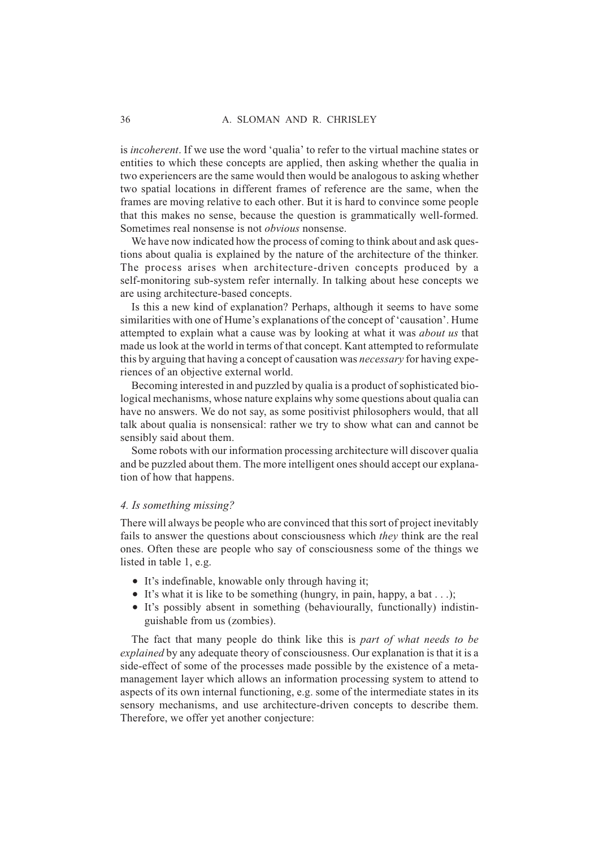is *incoherent*. If we use the word 'qualia' to refer to the virtual machine states or entities to which these concepts are applied, then asking whether the qualia in two experiencers are the same would then would be analogous to asking whether two spatial locations in different frames of reference are the same, when the frames are moving relative to each other. But it is hard to convince some people that this makes no sense, because the question is grammatically well-formed. Sometimes real nonsense is not *obvious* nonsense.

We have now indicated how the process of coming to think about and ask questions about qualia is explained by the nature of the architecture of the thinker. The process arises when architecture-driven concepts produced by a self-monitoring sub-system refer internally. In talking about hese concepts we are using architecture-based concepts.

Is this a new kind of explanation? Perhaps, although it seems to have some similarities with one of Hume's explanations of the concept of 'causation'. Hume attempted to explain what a cause was by looking at what it was *about us* that made us look at the world in terms of that concept. Kant attempted to reformulate this by arguing that having a concept of causation was *necessary* for having experiences of an objective external world.

Becoming interested in and puzzled by qualia is a product of sophisticated biological mechanisms, whose nature explains why some questions about qualia can have no answers. We do not say, as some positivist philosophers would, that all talk about qualia is nonsensical: rather we try to show what can and cannot be sensibly said about them.

Some robots with our information processing architecture will discover qualia and be puzzled about them. The more intelligent ones should accept our explanation of how that happens.

#### *4. Is something missing?*

There will always be people who are convinced that this sort of project inevitably fails to answer the questions about consciousness which *they* think are the real ones. Often these are people who say of consciousness some of the things we listed in table 1, e.g.

- It's indefinable, knowable only through having it;
- $\bullet$  It's what it is like to be something (hungry, in pain, happy, a bat . . .);
- It's possibly absent in something (behaviourally, functionally) indistinguishable from us (zombies).

The fact that many people do think like this is *part of what needs to be explained* by any adequate theory of consciousness. Our explanation is that it is a side-effect of some of the processes made possible by the existence of a metamanagement layer which allows an information processing system to attend to aspects of its own internal functioning, e.g. some of the intermediate states in its sensory mechanisms, and use architecture-driven concepts to describe them. Therefore, we offer yet another conjecture: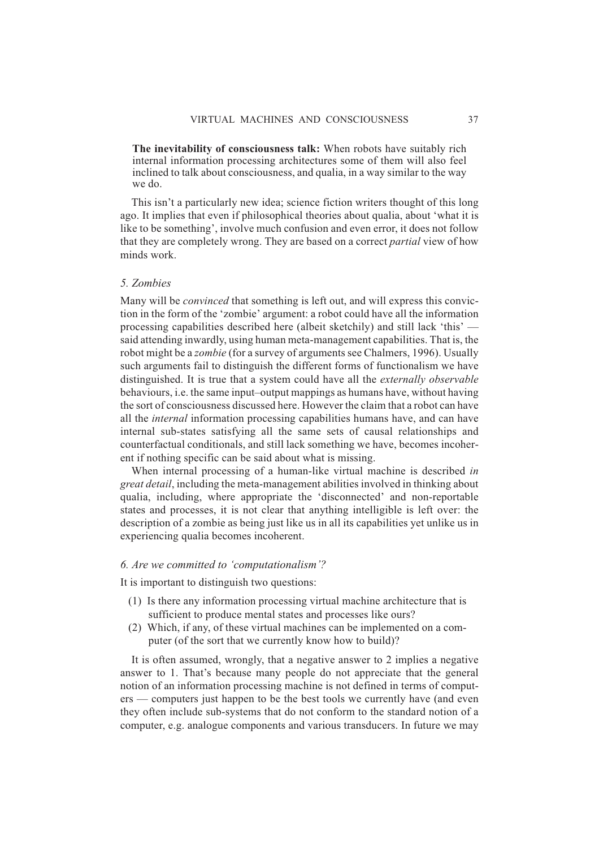**The inevitability of consciousness talk:** When robots have suitably rich internal information processing architectures some of them will also feel inclined to talk about consciousness, and qualia, in a way similar to the way we do.

This isn't a particularly new idea; science fiction writers thought of this long ago. It implies that even if philosophical theories about qualia, about 'what it is like to be something', involve much confusion and even error, it does not follow that they are completely wrong. They are based on a correct *partial* view of how minds work.

#### *5. Zombies*

Many will be *convinced* that something is left out, and will express this conviction in the form of the 'zombie' argument: a robot could have all the information processing capabilities described here (albeit sketchily) and still lack 'this' said attending inwardly, using human meta-management capabilities. That is, the robot might be a *zombie* (for a survey of arguments see Chalmers, 1996). Usually such arguments fail to distinguish the different forms of functionalism we have distinguished. It is true that a system could have all the *externally observable* behaviours, i.e. the same input–output mappings as humans have, without having the sort of consciousness discussed here. However the claim that a robot can have all the *internal* information processing capabilities humans have, and can have internal sub-states satisfying all the same sets of causal relationships and counterfactual conditionals, and still lack something we have, becomes incoherent if nothing specific can be said about what is missing.

When internal processing of a human-like virtual machine is described *in great detail*, including the meta-management abilities involved in thinking about qualia, including, where appropriate the 'disconnected' and non-reportable states and processes, it is not clear that anything intelligible is left over: the description of a zombie as being just like us in all its capabilities yet unlike us in experiencing qualia becomes incoherent.

#### *6. Are we committed to 'computationalism'?*

It is important to distinguish two questions:

- (1) Is there any information processing virtual machine architecture that is sufficient to produce mental states and processes like ours?
- (2) Which, if any, of these virtual machines can be implemented on a computer (of the sort that we currently know how to build)?

It is often assumed, wrongly, that a negative answer to 2 implies a negative answer to 1. That's because many people do not appreciate that the general notion of an information processing machine is not defined in terms of computers — computers just happen to be the best tools we currently have (and even they often include sub-systems that do not conform to the standard notion of a computer, e.g. analogue components and various transducers. In future we may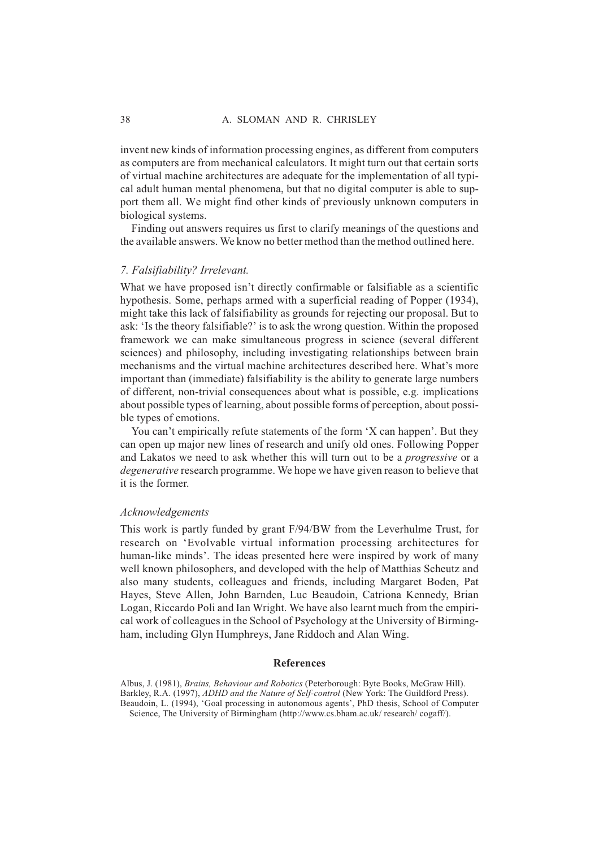invent new kinds of information processing engines, as different from computers as computers are from mechanical calculators. It might turn out that certain sorts of virtual machine architectures are adequate for the implementation of all typical adult human mental phenomena, but that no digital computer is able to support them all. We might find other kinds of previously unknown computers in biological systems.

Finding out answers requires us first to clarify meanings of the questions and the available answers. We know no better method than the method outlined here.

#### *7. Falsifiability? Irrelevant.*

What we have proposed isn't directly confirmable or falsifiable as a scientific hypothesis. Some, perhaps armed with a superficial reading of Popper (1934), might take this lack of falsifiability as grounds for rejecting our proposal. But to ask: 'Is the theory falsifiable?' is to ask the wrong question. Within the proposed framework we can make simultaneous progress in science (several different sciences) and philosophy, including investigating relationships between brain mechanisms and the virtual machine architectures described here. What's more important than (immediate) falsifiability is the ability to generate large numbers of different, non-trivial consequences about what is possible, e.g. implications about possible types of learning, about possible forms of perception, about possible types of emotions.

You can't empirically refute statements of the form 'X can happen'. But they can open up major new lines of research and unify old ones. Following Popper and Lakatos we need to ask whether this will turn out to be a *progressive* or a *degenerative* research programme. We hope we have given reason to believe that it is the former.

#### *Acknowledgements*

This work is partly funded by grant F/94/BW from the Leverhulme Trust, for research on 'Evolvable virtual information processing architectures for human-like minds'. The ideas presented here were inspired by work of many well known philosophers, and developed with the help of Matthias Scheutz and also many students, colleagues and friends, including Margaret Boden, Pat Hayes, Steve Allen, John Barnden, Luc Beaudoin, Catriona Kennedy, Brian Logan, Riccardo Poli and Ian Wright. We have also learnt much from the empirical work of colleagues in the School of Psychology at the University of Birmingham, including Glyn Humphreys, Jane Riddoch and Alan Wing.

#### **References**

Albus, J. (1981), *Brains, Behaviour and Robotics* (Peterborough: Byte Books, McGraw Hill). Barkley, R.A. (1997), *ADHD and the Nature of Self-control* (New York: The Guildford Press). Beaudoin, L. (1994), 'Goal processing in autonomous agents', PhD thesis, School of Computer Science, The University of Birmingham (http://www.cs.bham.ac.uk/ research/ cogaff/).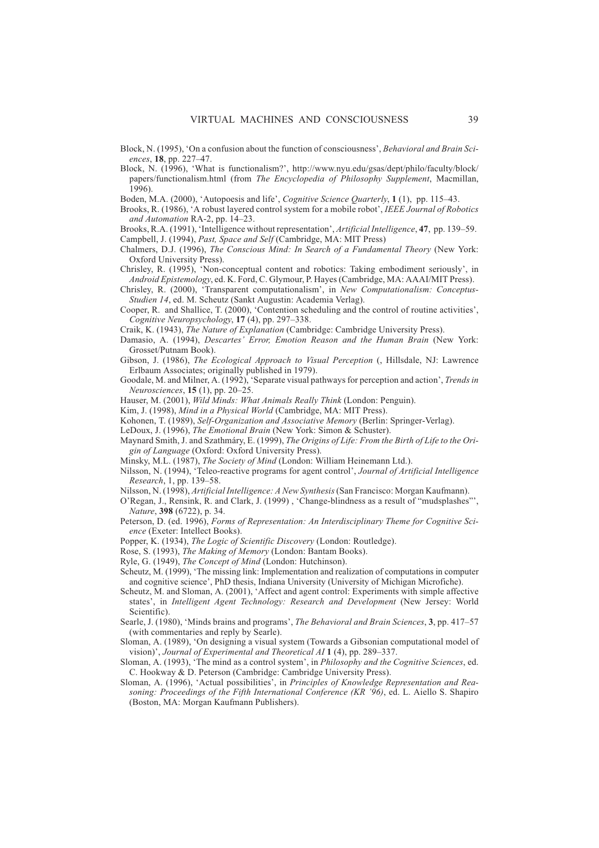Block, N. (1995), 'On a confusion about the function of consciousness', *Behavioral and Brain Sciences*, **18**, pp. 227–47.

Block, N. (1996), 'What is functionalism?', http://www.nyu.edu/gsas/dept/philo/faculty/block/ papers/functionalism.html (from *The Encyclopedia of Philosophy Supplement*, Macmillan, 1996).

Boden, M.A. (2000), 'Autopoesis and life', *Cognitive Science Quarterly*, **1** (1), pp. 115–43.

Brooks, R. (1986), 'A robust layered control system for a mobile robot', *IEEE Journal of Robotics and Automation* RA-2, pp. 14–23.

Brooks, R.A. (1991), 'Intelligence without representation', *Artificial Intelligence*, **47**, pp. 139–59. Campbell, J. (1994), *Past, Space and Self* (Cambridge, MA: MIT Press)

- Chalmers, D.J. (1996), *The Conscious Mind: In Search of a Fundamental Theory* (New York: Oxford University Press).
- Chrisley, R. (1995), 'Non-conceptual content and robotics: Taking embodiment seriously', in *Android Epistemology*, ed. K. Ford, C. Glymour, P. Hayes (Cambridge, MA: AAAI/MIT Press).
- Chrisley, R. (2000), 'Transparent computationalism', in *New Computationalism: Conceptus-Studien 14*, ed. M. Scheutz (Sankt Augustin: Academia Verlag).
- Cooper, R. and Shallice, T. (2000), 'Contention scheduling and the control of routine activities', *Cognitive Neuropsychology*, **17** (4), pp. 297–338.

Craik, K. (1943), *The Nature of Explanation* (Cambridge: Cambridge University Press).

Damasio, A. (1994), *Descartes' Error, Emotion Reason and the Human Brain* (New York: Grosset/Putnam Book).

Gibson, J. (1986), *The Ecological Approach to Visual Perception* (, Hillsdale, NJ: Lawrence Erlbaum Associates; originally published in 1979).

Goodale, M. and Milner, A. (1992), 'Separate visual pathways for perception and action', *Trends in Neurosciences*, **15** (1), pp. 20–25.

Hauser, M. (2001), *Wild Minds: What Animals Really Think* (London: Penguin).

- Kim, J. (1998), *Mind in a Physical World* (Cambridge, MA: MIT Press).
- Kohonen, T. (1989), *Self-Organization and Associative Memory* (Berlin: Springer-Verlag).
- LeDoux, J. (1996), *The Emotional Brain* (New York: Simon & Schuster).
- Maynard Smith, J. and Szathmáry, E. (1999), *The Origins of Life: From the Birth of Life to the Origin of Language* (Oxford: Oxford University Press).
- Minsky, M.L. (1987), *The Society of Mind* (London: William Heinemann Ltd.).
- Nilsson, N. (1994), 'Teleo-reactive programs for agent control', *Journal of Artificial Intelligence Research*, 1, pp. 139–58.
- Nilsson, N. (1998), *Artificial Intelligence: A New Synthesis*(San Francisco: Morgan Kaufmann).
- O'Regan, J., Rensink, R. and Clark, J. (1999) , 'Change-blindness as a result of "mudsplashes"', *Nature*, **398** (6722), p. 34.
- Peterson, D. (ed. 1996), *Forms of Representation: An Interdisciplinary Theme for Cognitive Science* (Exeter: Intellect Books).
- Popper, K. (1934), *The Logic of Scientific Discovery* (London: Routledge).

Rose, S. (1993), *The Making of Memory* (London: Bantam Books).

Ryle, G. (1949), *The Concept of Mind* (London: Hutchinson).

- Scheutz, M. (1999), 'The missing link: Implementation and realization of computations in computer and cognitive science', PhD thesis, Indiana University (University of Michigan Microfiche).
- Scheutz, M. and Sloman, A. (2001), 'Affect and agent control: Experiments with simple affective states', in *Intelligent Agent Technology: Research and Development* (New Jersey: World Scientific).
- Searle, J. (1980), 'Minds brains and programs', *The Behavioral and Brain Sciences*, **3**, pp. 417–57 (with commentaries and reply by Searle).
- Sloman, A. (1989), 'On designing a visual system (Towards a Gibsonian computational model of vision)', *Journal of Experimental and Theoretical AI* **1** (4), pp. 289–337.
- Sloman, A. (1993), 'The mind as a control system', in *Philosophy and the Cognitive Sciences*, ed. C. Hookway & D. Peterson (Cambridge: Cambridge University Press).
- Sloman, A. (1996), 'Actual possibilities', in *Principles of Knowledge Representation and Reasoning: Proceedings of the Fifth International Conference (KR '96)*, ed. L. Aiello S. Shapiro (Boston, MA: Morgan Kaufmann Publishers).